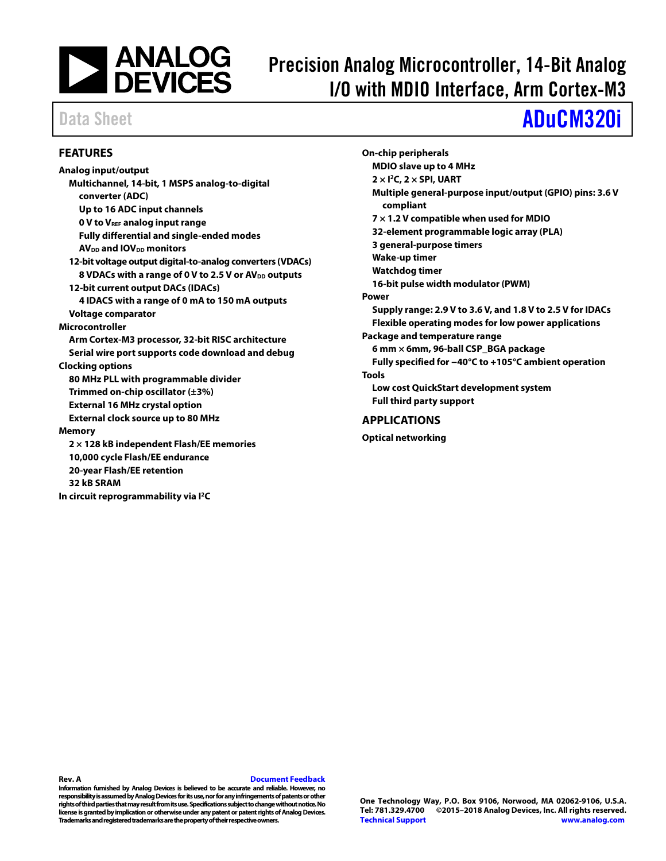

# Precision Analog Microcontroller, 14-Bit Analog I/O with MDIO Interface, Arm Cortex-M3

# Data Sheet **[ADuCM320i](http://analog.com/ADuCM320i?doc=ADuCM320i.pdf)**

### <span id="page-0-0"></span>**FEATURES**

**Analog input/output Multichannel, 14-bit, 1 MSPS analog-to-digital converter (ADC) Up to 16 ADC input channels 0 V to VREF analog input range Fully differential and single-ended modes AV**<sub>DD</sub> **and IOV**<sub>DD</sub> **monitors 12-bit voltage output digital-to-analog converters (VDACs)** 8 VDACs with a range of 0 V to 2.5 V or AV<sub>DD</sub> outputs **12-bit current output DACs (IDACs) 4 IDACS with a range of 0 mA to 150 mA outputs Voltage comparator Microcontroller Arm Cortex-M3 processor, 32-bit RISC architecture Serial wire port supports code download and debug Clocking options 80 MHz PLL with programmable divider Trimmed on-chip oscillator (±3%) External 16 MHz crystal option External clock source up to 80 MHz Memory 2 × 128 kB independent Flash/EE memories 10,000 cycle Flash/EE endurance 20-year Flash/EE retention 32 kB SRAM** 

**In circuit reprogrammability via I2C**

**On-chip peripherals MDIO slave up to 4 MHz 2 × I2C, 2 × SPI, UART Multiple general-purpose input/output (GPIO) pins: 3.6 V compliant 7 × 1.2 V compatible when used for MDIO 32-element programmable logic array (PLA) 3 general-purpose timers Wake-up timer Watchdog timer 16-bit pulse width modulator (PWM) Power Supply range: 2.9 V to 3.6 V, and 1.8 V to 2.5 V for IDACs Flexible operating modes for low power applications Package and temperature range 6 mm × 6mm, 96-ball CSP\_BGA package Fully specified for −40°C to +105°C ambient operation Tools Low cost QuickStart development system Full third party support APPLICATIONS**

<span id="page-0-1"></span>**Optical networking**

### **Rev. A [Document Feedback](https://form.analog.com/Form_Pages/feedback/documentfeedback.aspx?doc=ADuCM320i.pdf&product=ADuCM320i&rev=A)**

**Information furnished by Analog Devices is believed to be accurate and reliable. However, no responsibility is assumed by Analog Devices for its use, nor for any infringements of patents or other rights of third parties that may result from its use. Specifications subject to change without notice. No license is granted byimplication or otherwise under any patent or patent rights of Analog Devices. Trademarks and registered trademarks are the property of their respective owners.**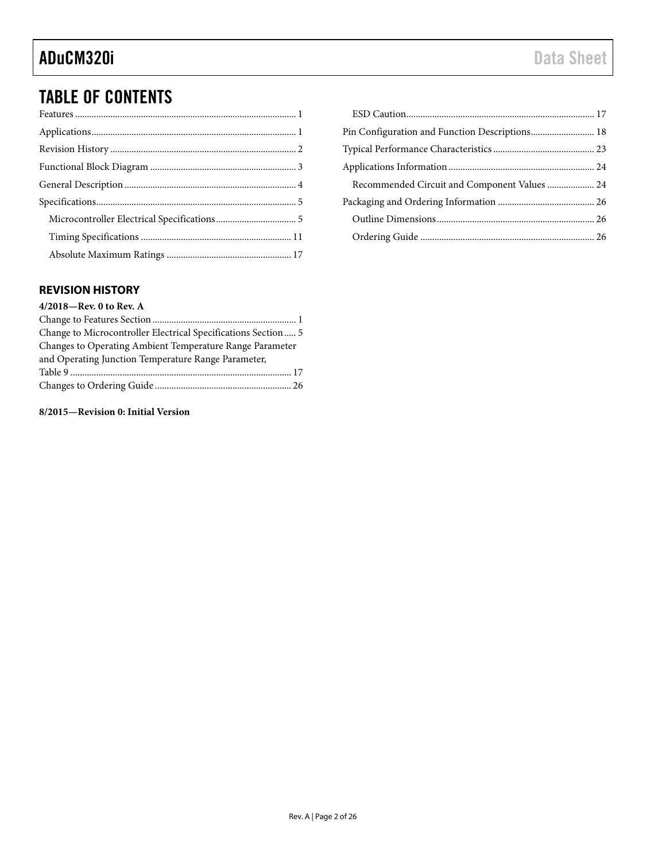## TABLE OF CONTENTS

| Recommended Circuit and Component Values  24 |  |
|----------------------------------------------|--|
|                                              |  |
|                                              |  |
|                                              |  |

## <span id="page-1-0"></span>**REVISION HISTORY**

| 4/2018-Rev. 0 to Rev. A                                       |
|---------------------------------------------------------------|
|                                                               |
| Change to Microcontroller Electrical Specifications Section 5 |
| Changes to Operating Ambient Temperature Range Parameter      |
| and Operating Junction Temperature Range Parameter,           |
|                                                               |
|                                                               |

**8/2015—Revision 0: Initial Version**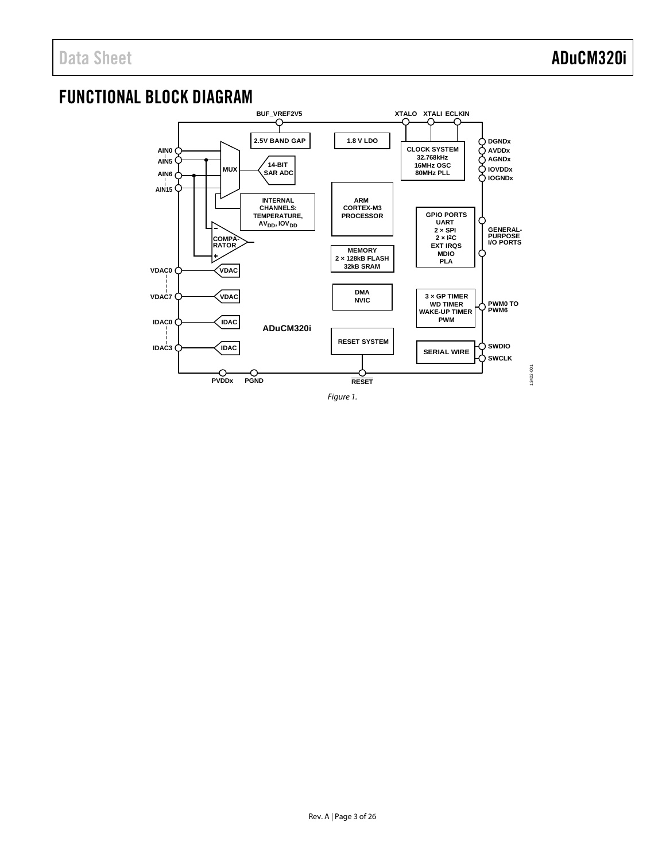## <span id="page-2-0"></span>FUNCTIONAL BLOCK DIAGRAM

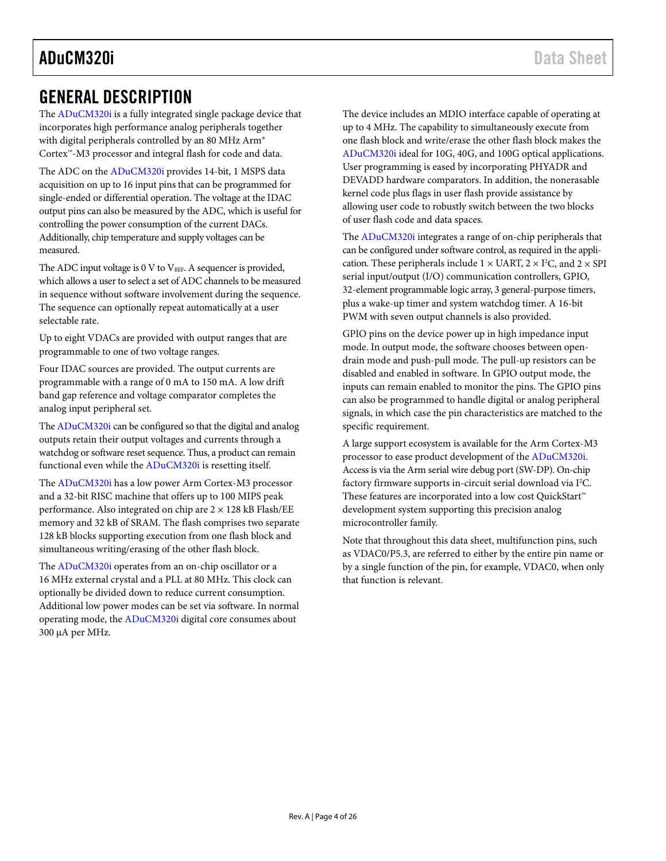## <span id="page-3-0"></span>GENERAL DESCRIPTION

The [ADuCM320i](http://analog.com/ADuCM320i?doc=ADuCM320i.pdf) is a fully integrated single package device that incorporates high performance analog peripherals together with digital peripherals controlled by an 80 MHz Arm® Cortex™-M3 processor and integral flash for code and data.

The ADC on th[e ADuCM320i](http://analog.com/ADuCM320i?doc=ADuCM320i.pdf) provides 14-bit, 1 MSPS data acquisition on up to 16 input pins that can be programmed for single-ended or differential operation. The voltage at the IDAC output pins can also be measured by the ADC, which is useful for controlling the power consumption of the current DACs. Additionally, chip temperature and supply voltages can be measured.

The ADC input voltage is  $0 \nabla$  to  $V_{REF}$ . A sequencer is provided, which allows a user to select a set of ADC channels to be measured in sequence without software involvement during the sequence. The sequence can optionally repeat automatically at a user selectable rate.

Up to eight VDACs are provided with output ranges that are programmable to one of two voltage ranges.

Four IDAC sources are provided. The output currents are programmable with a range of 0 mA to 150 mA. A low drift band gap reference and voltage comparator completes the analog input peripheral set.

Th[e ADuCM320i](http://analog.com/ADuCM320i?doc=ADuCM320i.pdf) can be configured so that the digital and analog outputs retain their output voltages and currents through a watchdog or software reset sequence. Thus, a product can remain functional even while the [ADuCM320i](http://analog.com/ADuCM320i?doc=ADuCM320i.pdf) is resetting itself.

The [ADuCM320i](http://analog.com/ADuCM320i?doc=ADuCM320i.pdf) has a low power Arm Cortex-M3 processor and a 32-bit RISC machine that offers up to 100 MIPS peak performance. Also integrated on chip are  $2 \times 128$  kB Flash/EE memory and 32 kB of SRAM. The flash comprises two separate 128 kB blocks supporting execution from one flash block and simultaneous writing/erasing of the other flash block.

The [ADuCM320i](http://analog.com/ADuCM320i?doc=ADuCM320i.pdf) operates from an on-chip oscillator or a 16 MHz external crystal and a PLL at 80 MHz. This clock can optionally be divided down to reduce current consumption. Additional low power modes can be set via software. In normal operating mode, th[e ADuCM320i](http://analog.com/ADuCM320i?doc=ADuCM320i.pdf) digital core consumes about 300 µA per MHz.

The device includes an MDIO interface capable of operating at up to 4 MHz. The capability to simultaneously execute from one flash block and write/erase the other flash block makes the [ADuCM320i](http://analog.com/ADuCM320i?doc=ADuCM320i.pdf) ideal for 10G, 40G, and 100G optical applications. User programming is eased by incorporating PHYADR and DEVADD hardware comparators. In addition, the nonerasable kernel code plus flags in user flash provide assistance by allowing user code to robustly switch between the two blocks of user flash code and data spaces.

The [ADuCM320i](http://analog.com/ADuCM320i?doc=ADuCM320i.pdf) integrates a range of on-chip peripherals that can be configured under software control, as required in the application. These peripherals include  $1 \times \text{UART}, 2 \times \text{I}^2\text{C},$  and  $2 \times \text{SPI}$ serial input/output (I/O) communication controllers, GPIO, 32-element programmable logic array, 3 general-purpose timers, plus a wake-up timer and system watchdog timer. A 16-bit PWM with seven output channels is also provided.

GPIO pins on the device power up in high impedance input mode. In output mode, the software chooses between opendrain mode and push-pull mode. The pull-up resistors can be disabled and enabled in software. In GPIO output mode, the inputs can remain enabled to monitor the pins. The GPIO pins can also be programmed to handle digital or analog peripheral signals, in which case the pin characteristics are matched to the specific requirement.

A large support ecosystem is available for the Arm Cortex-M3 processor to ease product development of the [ADuCM320i.](http://analog.com/ADuCM320i?doc=ADuCM320i.pdf)  Access is via the Arm serial wire debug port (SW-DP). On-chip factory firmware supports in-circuit serial download via I<sup>2</sup>C. These features are incorporated into a low cost QuickStart™ development system supporting this precision analog microcontroller family.

Note that throughout this data sheet, multifunction pins, such as VDAC0/P5.3, are referred to either by the entire pin name or by a single function of the pin, for example, VDAC0, when only that function is relevant.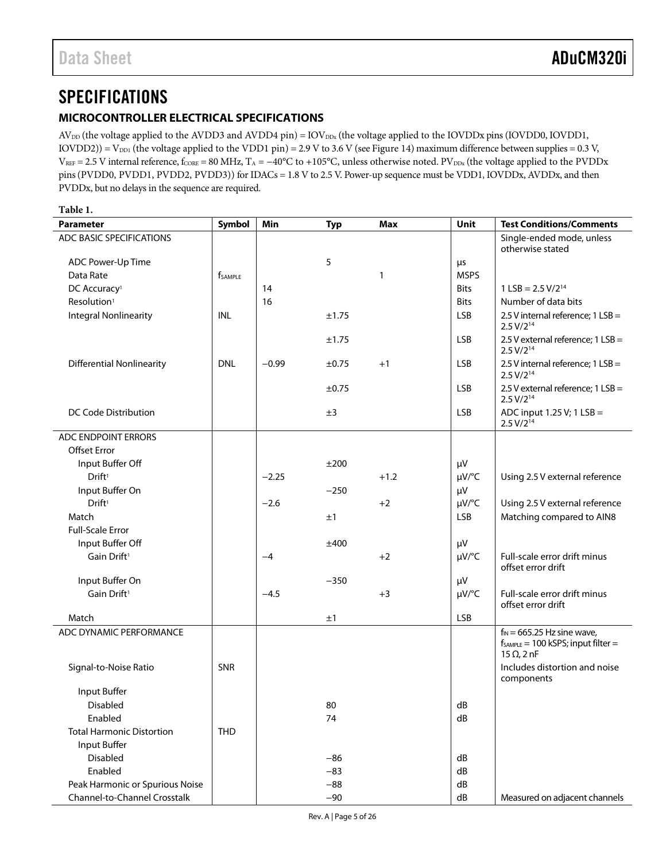## <span id="page-4-0"></span>**SPECIFICATIONS**

### <span id="page-4-1"></span>**MICROCONTROLLER ELECTRICAL SPECIFICATIONS**

 $AV_{DD}$  (the voltage applied to the AVDD3 and AVDD4 pin) =  $IOV_{DDx}$  (the voltage applied to the IOVDDx pins (IOVDD0, IOVDD1,  $IOVDD2$ )) = V<sub>DD1</sub> (the voltage applied to the VDD1 pin) = 2.9 V to 3.6 V (se[e Figure 14\)](#page-22-1) maximum difference between supplies = 0.3 V,  $V_{REF} = 2.5$  V internal reference,  $f_{CORE} = 80$  MHz,  $T_A = -40^{\circ}$ C to +105°C, unless otherwise noted. PV<sub>DDx</sub> (the voltage applied to the PVDDx pins(PVDD0, PVDD1, PVDD2, PVDD3)) for IDACs = 1.8 V to 2.5 V. Power-up sequence must be VDD1, IOVDDx, AVDDx, and then PVDDx, but no delays in the sequence are required.

<span id="page-4-2"></span>

| Table 1.                         |                     |         |            |            |             |                                                                                                  |
|----------------------------------|---------------------|---------|------------|------------|-------------|--------------------------------------------------------------------------------------------------|
| <b>Parameter</b>                 | Symbol              | Min     | <b>Typ</b> | <b>Max</b> | Unit        | <b>Test Conditions/Comments</b>                                                                  |
| ADC BASIC SPECIFICATIONS         |                     |         |            |            |             | Single-ended mode, unless<br>otherwise stated                                                    |
| ADC Power-Up Time                |                     |         | 5          |            | μs          |                                                                                                  |
| Data Rate                        | f <sub>SAMPLE</sub> |         |            | 1          | <b>MSPS</b> |                                                                                                  |
| DC Accuracy <sup>1</sup>         |                     | 14      |            |            | <b>Bits</b> | $1$ LSB = 2.5 V/2 <sup>14</sup>                                                                  |
| Resolution <sup>1</sup>          |                     | 16      |            |            | <b>Bits</b> | Number of data bits                                                                              |
| <b>Integral Nonlinearity</b>     | <b>INL</b>          |         | ±1.75      |            | <b>LSB</b>  | 2.5 V internal reference; 1 LSB =<br>$2.5 V/2^{14}$                                              |
|                                  |                     |         | ±1.75      |            | <b>LSB</b>  | 2.5 V external reference; 1 LSB =<br>$2.5 V/2^{14}$                                              |
| <b>Differential Nonlinearity</b> | <b>DNL</b>          | $-0.99$ | $\pm 0.75$ | $+1$       | <b>LSB</b>  | 2.5 V internal reference; 1 LSB =<br>$2.5 V/2^{14}$                                              |
|                                  |                     |         | $\pm$ 0.75 |            | <b>LSB</b>  | 2.5 V external reference; 1 LSB =<br>$2.5 V/2^{14}$                                              |
| DC Code Distribution             |                     |         | ±3         |            | <b>LSB</b>  | ADC input 1.25 V; 1 LSB =<br>2.5 V/2 <sup>14</sup>                                               |
| ADC ENDPOINT ERRORS              |                     |         |            |            |             |                                                                                                  |
| <b>Offset Error</b>              |                     |         |            |            |             |                                                                                                  |
| Input Buffer Off                 |                     |         | ±200       |            | μV          |                                                                                                  |
| Drift <sup>1</sup>               |                     | $-2.25$ |            | $+1.2$     | $\mu V$ /°C | Using 2.5 V external reference                                                                   |
| Input Buffer On                  |                     |         | $-250$     |            | μV          |                                                                                                  |
| Drift <sup>1</sup>               |                     | $-2.6$  |            | $+2$       | $\mu V$ /°C | Using 2.5 V external reference                                                                   |
| Match                            |                     |         | ±1         |            | <b>LSB</b>  | Matching compared to AIN8                                                                        |
| <b>Full-Scale Error</b>          |                     |         |            |            |             |                                                                                                  |
| Input Buffer Off                 |                     |         | ±400       |            | μV          |                                                                                                  |
| Gain Drift <sup>1</sup>          |                     | $-4$    |            | $+2$       | $\mu V$ /°C | Full-scale error drift minus<br>offset error drift                                               |
| Input Buffer On                  |                     |         | $-350$     |            | μV          |                                                                                                  |
| Gain Drift <sup>1</sup>          |                     | $-4.5$  |            | $+3$       | $\mu V$ /°C | Full-scale error drift minus<br>offset error drift                                               |
| Match                            |                     |         | ±1         |            | <b>LSB</b>  |                                                                                                  |
| ADC DYNAMIC PERFORMANCE          |                     |         |            |            |             | $f_{IN} = 665.25$ Hz sine wave,<br>$f_{SAMPLE} = 100$ kSPS; input filter =<br>$15 \Omega$ , 2 nF |
| Signal-to-Noise Ratio            | SNR                 |         |            |            |             | Includes distortion and noise<br>components                                                      |
| Input Buffer                     |                     |         |            |            |             |                                                                                                  |
| Disabled                         |                     |         | 80         |            | dB          |                                                                                                  |
| Enabled                          |                     |         | 74         |            | dB          |                                                                                                  |
| <b>Total Harmonic Distortion</b> | <b>THD</b>          |         |            |            |             |                                                                                                  |
| Input Buffer                     |                     |         |            |            |             |                                                                                                  |
| Disabled                         |                     |         | $-86$      |            | dB          |                                                                                                  |
| Enabled                          |                     |         | $-83$      |            | dB          |                                                                                                  |
| Peak Harmonic or Spurious Noise  |                     |         | $-88$      |            | dB          |                                                                                                  |
| Channel-to-Channel Crosstalk     |                     |         | $-90$      |            | dB          | Measured on adjacent channels                                                                    |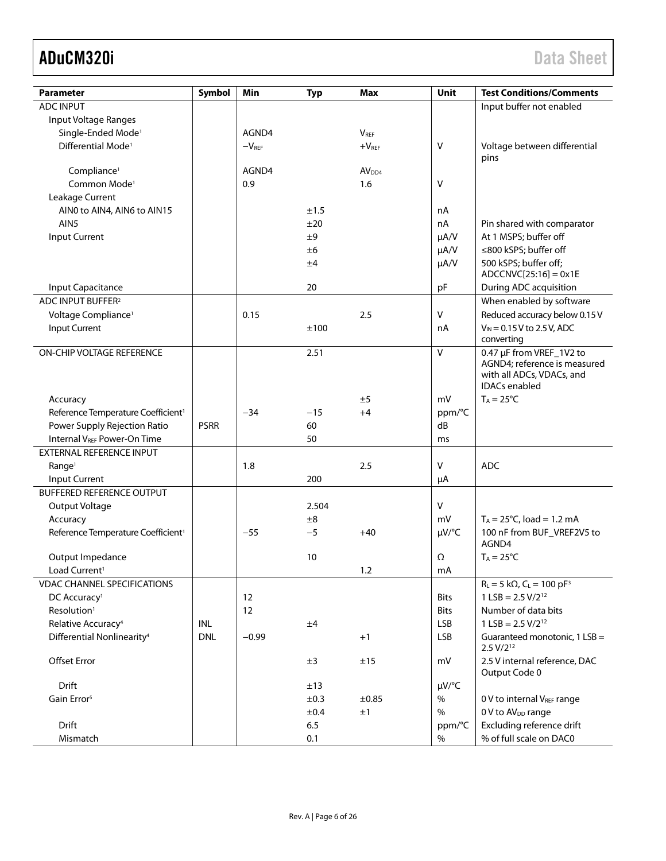| <b>Parameter</b>                               | Symbol      | Min     | <b>Typ</b> | <b>Max</b>        | Unit         | <b>Test Conditions/Comments</b>                                                   |
|------------------------------------------------|-------------|---------|------------|-------------------|--------------|-----------------------------------------------------------------------------------|
| <b>ADC INPUT</b>                               |             |         |            |                   |              | Input buffer not enabled                                                          |
| Input Voltage Ranges                           |             |         |            |                   |              |                                                                                   |
| Single-Ended Mode <sup>1</sup>                 |             | AGND4   |            | $V_{REF}$         |              |                                                                                   |
| Differential Mode <sup>1</sup>                 |             | $-VREF$ |            | $+VREF$           | $\vee$       | Voltage between differential<br>pins                                              |
| Compliance <sup>1</sup>                        |             | AGND4   |            | AV <sub>DD4</sub> |              |                                                                                   |
| Common Mode <sup>1</sup>                       |             | 0.9     |            | 1.6               | $\vee$       |                                                                                   |
| Leakage Current                                |             |         |            |                   |              |                                                                                   |
| AINO to AIN4, AIN6 to AIN15                    |             |         | ±1.5       |                   | nA           |                                                                                   |
| AIN <sub>5</sub>                               |             |         | ±20        |                   | nA           | Pin shared with comparator                                                        |
| Input Current                                  |             |         | ±9         |                   | $\mu A/V$    | At 1 MSPS; buffer off                                                             |
|                                                |             |         | ±6         |                   | $\mu A/V$    | ≤800 kSPS; buffer off                                                             |
|                                                |             |         | ±4         |                   | $\mu A/V$    | 500 kSPS; buffer off;<br>$ADCCNVC[25:16] = 0x1E$                                  |
| Input Capacitance                              |             |         | 20         |                   | pF           | During ADC acquisition                                                            |
| ADC INPUT BUFFER <sup>2</sup>                  |             |         |            |                   |              | When enabled by software                                                          |
| Voltage Compliance <sup>1</sup>                |             | 0.15    |            | 2.5               | V            | Reduced accuracy below 0.15 V                                                     |
| Input Current                                  |             |         | ±100       |                   | nA           | $V_{IN} = 0.15 V$ to 2.5 V, ADC<br>converting                                     |
| ON-CHIP VOLTAGE REFERENCE                      |             |         | 2.51       |                   | $\vee$       | 0.47 µF from VREF_1V2 to                                                          |
|                                                |             |         |            |                   |              | AGND4; reference is measured<br>with all ADCs, VDACs, and<br><b>IDACs</b> enabled |
| Accuracy                                       |             |         |            | ±5                | mV           | $T_A = 25^{\circ}C$                                                               |
| Reference Temperature Coefficient <sup>1</sup> |             | $-34$   | $-15$      | $+4$              | ppm/°C       |                                                                                   |
| Power Supply Rejection Ratio                   | <b>PSRR</b> |         | 60         |                   | dB           |                                                                                   |
| <b>Internal VREF Power-On Time</b>             |             |         | 50         |                   | ms           |                                                                                   |
| <b>EXTERNAL REFERENCE INPUT</b>                |             |         |            |                   |              |                                                                                   |
| Range <sup>1</sup>                             |             | 1.8     |            | 2.5               | $\mathsf{V}$ | <b>ADC</b>                                                                        |
| Input Current                                  |             |         | 200        |                   | μA           |                                                                                   |
| <b>BUFFERED REFERENCE OUTPUT</b>               |             |         |            |                   |              |                                                                                   |
| Output Voltage                                 |             |         | 2.504      |                   | $\mathsf{V}$ |                                                                                   |
| Accuracy                                       |             |         | ±8         |                   | mV           | $T_A = 25^{\circ}C$ , load = 1.2 mA                                               |
| Reference Temperature Coefficient <sup>1</sup> |             | $-55$   | $-5$       | $+40$             | $\mu V$ /°C  | 100 nF from BUF_VREF2V5 to<br>AGND4                                               |
| Output Impedance                               |             |         | 10         |                   | Ω            | $T_A = 25^{\circ}C$                                                               |
| Load Current <sup>1</sup>                      |             |         |            | 1.2               | mA           |                                                                                   |
| <b>VDAC CHANNEL SPECIFICATIONS</b>             |             |         |            |                   |              | $R_L = 5 k\Omega$ , $C_L = 100 pF^3$                                              |
| DC Accuracy <sup>1</sup>                       |             | 12      |            |                   | <b>Bits</b>  | $1$ LSB = 2.5 V/2 <sup>12</sup>                                                   |
| Resolution <sup>1</sup>                        |             | 12      |            |                   | <b>Bits</b>  | Number of data bits                                                               |
| Relative Accuracy <sup>4</sup>                 | INL         |         | ±4         |                   | <b>LSB</b>   | $1$ LSB = 2.5 V/2 <sup>12</sup>                                                   |
| Differential Nonlinearity <sup>4</sup>         | <b>DNL</b>  | $-0.99$ |            | $+1$              | <b>LSB</b>   | Guaranteed monotonic, 1 LSB =<br>$2.5 V/2^{12}$                                   |
| Offset Error                                   |             |         | ±3         | ±15               | mV           | 2.5 V internal reference, DAC<br>Output Code 0                                    |
| Drift                                          |             |         | ±13        |                   | $\mu V$ /°C  |                                                                                   |
| Gain Error <sup>5</sup>                        |             |         | ±0.3       | ±0.85             | %            | 0 V to internal VREF range                                                        |
|                                                |             |         | ±0.4       | ±1                | $\%$         | 0 V to AV <sub>DD</sub> range                                                     |
| Drift                                          |             |         | 6.5        |                   | ppm/°C       | Excluding reference drift                                                         |
| Mismatch                                       |             |         | 0.1        |                   | $\%$         | % of full scale on DAC0                                                           |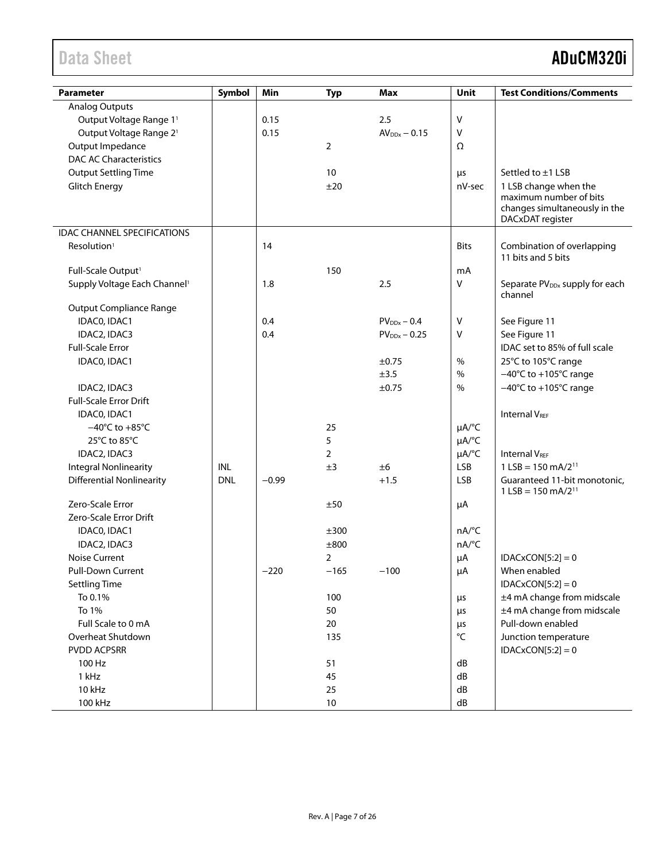| <b>Parameter</b>                         | Symbol     | Min     | <b>Typ</b>     | <b>Max</b>        | Unit            | <b>Test Conditions/Comments</b>                                             |
|------------------------------------------|------------|---------|----------------|-------------------|-----------------|-----------------------------------------------------------------------------|
| <b>Analog Outputs</b>                    |            |         |                |                   |                 |                                                                             |
| Output Voltage Range 11                  |            | 0.15    |                | 2.5               | V               |                                                                             |
| Output Voltage Range 2 <sup>1</sup>      |            | 0.15    |                | $AV_{DDx} - 0.15$ | V               |                                                                             |
| Output Impedance                         |            |         | $\overline{2}$ |                   | Ω               |                                                                             |
| <b>DAC AC Characteristics</b>            |            |         |                |                   |                 |                                                                             |
| <b>Output Settling Time</b>              |            |         | 10             |                   | μs              | Settled to ±1 LSB                                                           |
| Glitch Energy                            |            |         | ±20            |                   | nV-sec          | 1 LSB change when the                                                       |
|                                          |            |         |                |                   |                 | maximum number of bits<br>changes simultaneously in the<br>DACxDAT register |
| <b>IDAC CHANNEL SPECIFICATIONS</b>       |            |         |                |                   |                 |                                                                             |
| Resolution <sup>1</sup>                  |            | 14      |                |                   | <b>Bits</b>     | Combination of overlapping<br>11 bits and 5 bits                            |
| Full-Scale Output <sup>1</sup>           |            |         | 150            |                   | mA              |                                                                             |
| Supply Voltage Each Channel <sup>1</sup> |            | 1.8     |                | 2.5               | V               | Separate PV <sub>DDx</sub> supply for each                                  |
| <b>Output Compliance Range</b>           |            |         |                |                   |                 | channel                                                                     |
| IDAC0, IDAC1                             |            | 0.4     |                | $PV_{DDx} - 0.4$  | V               | See Figure 11                                                               |
| IDAC2, IDAC3                             |            | 0.4     |                | $PV_{DDx} - 0.25$ | V               | See Figure 11                                                               |
| <b>Full-Scale Error</b>                  |            |         |                |                   |                 | IDAC set to 85% of full scale                                               |
| IDAC0, IDAC1                             |            |         |                | $\pm 0.75$        | $\%$            | 25°C to 105°C range                                                         |
|                                          |            |         |                | ±3.5              | $\frac{0}{0}$   | $-40^{\circ}$ C to +105 $^{\circ}$ C range                                  |
| IDAC2, IDAC3                             |            |         |                | ±0.75             | %               | $-40^{\circ}$ C to +105 $^{\circ}$ C range                                  |
| <b>Full-Scale Error Drift</b>            |            |         |                |                   |                 |                                                                             |
| IDACO, IDAC1                             |            |         |                |                   |                 | <b>Internal VREF</b>                                                        |
| $-40^{\circ}$ C to $+85^{\circ}$ C       |            |         | 25             |                   | µA/°C           |                                                                             |
| 25°C to 85°C                             |            |         | 5              |                   | µA/°C           |                                                                             |
| IDAC2, IDAC3                             |            |         | $\overline{2}$ |                   | µA/°C           | <b>Internal VREE</b>                                                        |
| <b>Integral Nonlinearity</b>             | <b>INL</b> |         | ±3             | ±6                | LSB             | $1$ LSB = 150 mA/2 <sup>11</sup>                                            |
| <b>Differential Nonlinearity</b>         | <b>DNL</b> | $-0.99$ |                | $+1.5$            | <b>LSB</b>      | Guaranteed 11-bit monotonic,                                                |
|                                          |            |         |                |                   |                 | $1$ LSB = 150 mA/2 <sup>11</sup>                                            |
| Zero-Scale Error                         |            |         | ±50            |                   | μA              |                                                                             |
| Zero-Scale Error Drift                   |            |         |                |                   |                 |                                                                             |
| IDACO, IDAC1                             |            |         | ±300           |                   | nA/°C           |                                                                             |
| IDAC2, IDAC3                             |            |         | ±800           |                   | nA/°C           |                                                                             |
| <b>Noise Current</b>                     |            |         | 2              |                   | $\mu A$         | $IDACKCON[5:2] = 0$                                                         |
| Pull-Down Current                        |            | $-220$  | $-165$         | $-100$            | $\mu A$         | When enabled                                                                |
| <b>Settling Time</b>                     |            |         |                |                   |                 | $IDACKCON[5:2] = 0$                                                         |
| To 0.1%                                  |            |         | 100            |                   | μs              | ±4 mA change from midscale                                                  |
| To 1%                                    |            |         | 50             |                   | μs              | ±4 mA change from midscale                                                  |
| Full Scale to 0 mA                       |            |         | 20             |                   | μs              | Pull-down enabled                                                           |
| Overheat Shutdown                        |            |         | 135            |                   | $\rm ^{\circ}C$ | Junction temperature                                                        |
| PVDD ACPSRR                              |            |         |                |                   |                 | $IDACKCON[5:2] = 0$                                                         |
| 100 Hz                                   |            |         | 51             |                   | dB              |                                                                             |
| 1 kHz                                    |            |         | 45             |                   | dB              |                                                                             |
| 10 kHz                                   |            |         | 25             |                   | dB              |                                                                             |
| 100 kHz                                  |            |         | $10$           |                   | ${\sf dB}$      |                                                                             |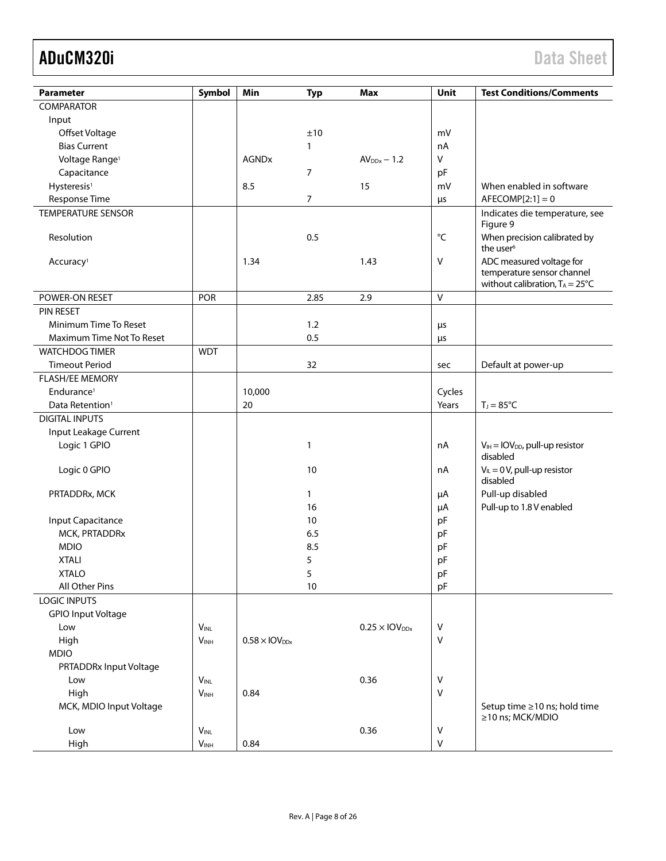| Parameter                   | Symbol           | Min                              | <b>Typ</b> | <b>Max</b>                       | Unit         | <b>Test Conditions/Comments</b>                                        |
|-----------------------------|------------------|----------------------------------|------------|----------------------------------|--------------|------------------------------------------------------------------------|
| <b>COMPARATOR</b>           |                  |                                  |            |                                  |              |                                                                        |
| Input                       |                  |                                  |            |                                  |              |                                                                        |
| Offset Voltage              |                  |                                  | ±10        |                                  | mV           |                                                                        |
| <b>Bias Current</b>         |                  |                                  | 1          |                                  | nA           |                                                                        |
| Voltage Range <sup>1</sup>  |                  | <b>AGNDx</b>                     |            | $AV_{DDx} - 1.2$                 | V            |                                                                        |
| Capacitance                 |                  |                                  | 7          |                                  | pF           |                                                                        |
| Hysteresis <sup>1</sup>     |                  | 8.5                              |            | 15                               | mV           | When enabled in software                                               |
| Response Time               |                  |                                  | 7          |                                  | $\mu s$      | $AFECOMP[2:1]=0$                                                       |
| <b>TEMPERATURE SENSOR</b>   |                  |                                  |            |                                  |              | Indicates die temperature, see                                         |
|                             |                  |                                  |            |                                  |              | Figure 9                                                               |
| Resolution                  |                  |                                  | 0.5        |                                  | °C           | When precision calibrated by                                           |
|                             |                  |                                  |            |                                  |              | the user <sup>6</sup>                                                  |
| Accuracy <sup>1</sup>       |                  | 1.34                             |            | 1.43                             | V            | ADC measured voltage for                                               |
|                             |                  |                                  |            |                                  |              | temperature sensor channel<br>without calibration, $T_A = 25^{\circ}C$ |
| POWER-ON RESET              | POR              |                                  | 2.85       | 2.9                              | $\mathsf{V}$ |                                                                        |
| <b>PIN RESET</b>            |                  |                                  |            |                                  |              |                                                                        |
| Minimum Time To Reset       |                  |                                  | 1.2        |                                  | μs           |                                                                        |
| Maximum Time Not To Reset   |                  |                                  | 0.5        |                                  | μs           |                                                                        |
| <b>WATCHDOG TIMER</b>       | <b>WDT</b>       |                                  |            |                                  |              |                                                                        |
| <b>Timeout Period</b>       |                  |                                  | 32         |                                  | sec          | Default at power-up                                                    |
| <b>FLASH/EE MEMORY</b>      |                  |                                  |            |                                  |              |                                                                        |
| Endurance <sup>1</sup>      |                  | 10,000                           |            |                                  | Cycles       |                                                                        |
| Data Retention <sup>1</sup> |                  | 20                               |            |                                  | Years        | $T_J = 85^{\circ}C$                                                    |
| <b>DIGITAL INPUTS</b>       |                  |                                  |            |                                  |              |                                                                        |
| Input Leakage Current       |                  |                                  |            |                                  |              |                                                                        |
| Logic 1 GPIO                |                  |                                  | 1          |                                  | nA           | $V_{IH} = IOV_{DD}$ , pull-up resistor                                 |
|                             |                  |                                  |            |                                  |              | disabled                                                               |
| Logic 0 GPIO                |                  |                                  | 10         |                                  | nA           | $V_{IL} = 0 V$ , pull-up resistor<br>disabled                          |
| PRTADDRx, MCK               |                  |                                  | 1          |                                  | μA           | Pull-up disabled                                                       |
|                             |                  |                                  | 16         |                                  | $\mu A$      | Pull-up to 1.8 V enabled                                               |
| Input Capacitance           |                  |                                  | 10         |                                  | pF           |                                                                        |
| MCK, PRTADDRx               |                  |                                  | 6.5        |                                  | pF           |                                                                        |
| <b>MDIO</b>                 |                  |                                  | 8.5        |                                  | pF           |                                                                        |
| <b>XTALI</b>                |                  |                                  | 5          |                                  | pF           |                                                                        |
| <b>XTALO</b>                |                  |                                  | 5          |                                  | pF           |                                                                        |
| All Other Pins              |                  |                                  | 10         |                                  | pF           |                                                                        |
| <b>LOGIC INPUTS</b>         |                  |                                  |            |                                  |              |                                                                        |
| <b>GPIO Input Voltage</b>   |                  |                                  |            |                                  |              |                                                                        |
| Low                         | $V_{INL}$        |                                  |            | $0.25 \times$ IOV <sub>DDx</sub> | V            |                                                                        |
| High                        | V <sub>INH</sub> | $0.58 \times$ IOV <sub>DDx</sub> |            |                                  | V            |                                                                        |
| <b>MDIO</b>                 |                  |                                  |            |                                  |              |                                                                        |
| PRTADDRx Input Voltage      |                  |                                  |            |                                  |              |                                                                        |
| Low                         | $V_{\text{INL}}$ |                                  |            | 0.36                             | ٧            |                                                                        |
| High                        | $V_{INH}$        | 0.84                             |            |                                  | $\vee$       |                                                                        |
| MCK, MDIO Input Voltage     |                  |                                  |            |                                  |              | Setup time ≥10 ns; hold time                                           |
|                             |                  |                                  |            |                                  |              | ≥10 ns; MCK/MDIO                                                       |
| Low                         | <b>VINL</b>      |                                  |            | 0.36                             | ٧            |                                                                        |
| High                        | V <sub>INH</sub> | 0.84                             |            |                                  | $\sf V$      |                                                                        |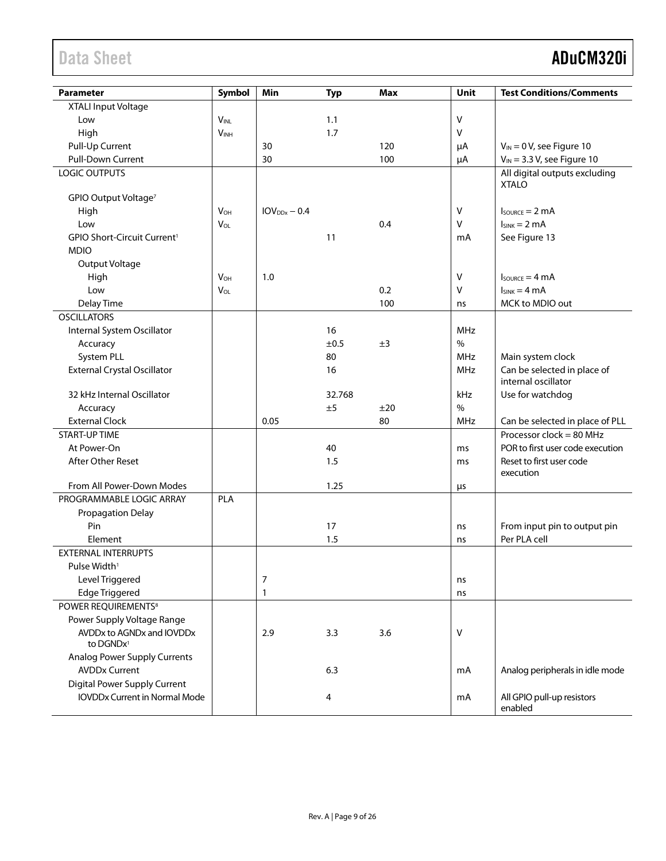| <b>Parameter</b>                                   | Symbol                 | Min            | <b>Typ</b> | <b>Max</b> | Unit       | <b>Test Conditions/Comments</b>       |
|----------------------------------------------------|------------------------|----------------|------------|------------|------------|---------------------------------------|
| XTALI Input Voltage                                |                        |                |            |            |            |                                       |
| Low                                                | <b>VINL</b>            |                | 1.1        |            | V          |                                       |
| High                                               | <b>V<sub>INH</sub></b> |                | 1.7        |            | $\vee$     |                                       |
| Pull-Up Current                                    |                        | 30             |            | 120        | μA         | $V_{IN} = 0 V$ , see Figure 10        |
| Pull-Down Current                                  |                        | 30             |            | 100        | μA         | $V_{IN}$ = 3.3 V, see Figure 10       |
| <b>LOGIC OUTPUTS</b>                               |                        |                |            |            |            | All digital outputs excluding         |
|                                                    |                        |                |            |            |            | <b>XTALO</b>                          |
| GPIO Output Voltage <sup>7</sup>                   |                        |                |            |            |            |                                       |
| High                                               | $V_{OH}$               | $IOVDDx - 0.4$ |            |            | ٧          | $I_{\text{SOWRCE}} = 2 \text{ mA}$    |
| Low                                                | VOL                    |                |            | 0.4        | $\sf V$    | $I_{SINK} = 2 mA$                     |
| GPIO Short-Circuit Current <sup>1</sup>            |                        |                | 11         |            | mA         | See Figure 13                         |
| <b>MDIO</b>                                        |                        |                |            |            |            |                                       |
| Output Voltage                                     |                        |                |            |            |            |                                       |
| High                                               | <b>V<sub>OH</sub></b>  | 1.0            |            |            | V          | $I_{\text{SOWRCE}} = 4 \text{ mA}$    |
| Low                                                | $V_{OL}$               |                |            | 0.2        | $\vee$     | $I_{SINK} = 4 mA$                     |
| Delay Time                                         |                        |                |            | 100        | ns         | MCK to MDIO out                       |
| <b>OSCILLATORS</b>                                 |                        |                |            |            |            |                                       |
| Internal System Oscillator                         |                        |                | 16         |            | <b>MHz</b> |                                       |
| Accuracy                                           |                        |                | ±0.5       | ±3         | %          |                                       |
| System PLL                                         |                        |                | 80         |            | <b>MHz</b> | Main system clock                     |
| <b>External Crystal Oscillator</b>                 |                        |                | 16         |            | <b>MHz</b> | Can be selected in place of           |
|                                                    |                        |                |            |            |            | internal oscillator                   |
| 32 kHz Internal Oscillator                         |                        |                | 32.768     |            | kHz        | Use for watchdog                      |
| Accuracy                                           |                        |                | ±5         | ±20        | $\%$       |                                       |
| <b>External Clock</b>                              |                        | 0.05           |            | 80         | MHz        | Can be selected in place of PLL       |
| <b>START-UP TIME</b>                               |                        |                |            |            |            | Processor clock = 80 MHz              |
| At Power-On                                        |                        |                | 40         |            | ms         | POR to first user code execution      |
| After Other Reset                                  |                        |                | 1.5        |            | ms         | Reset to first user code              |
|                                                    |                        |                |            |            |            | execution                             |
| From All Power-Down Modes                          |                        |                | 1.25       |            | $\mu$ s    |                                       |
| PROGRAMMABLE LOGIC ARRAY                           | PLA                    |                |            |            |            |                                       |
| Propagation Delay                                  |                        |                |            |            |            |                                       |
| Pin                                                |                        |                | 17         |            | ns         | From input pin to output pin          |
| Element                                            |                        |                | 1.5        |            | ns         | Per PLA cell                          |
| <b>EXTERNAL INTERRUPTS</b>                         |                        |                |            |            |            |                                       |
| Pulse Width <sup>1</sup>                           |                        |                |            |            |            |                                       |
| Level Triggered                                    |                        | 7              |            |            | ns         |                                       |
| <b>Edge Triggered</b>                              |                        | 1              |            |            | ns         |                                       |
| POWER REQUIREMENTS <sup>8</sup>                    |                        |                |            |            |            |                                       |
| Power Supply Voltage Range                         |                        |                |            |            |            |                                       |
| AVDDx to AGNDx and IOVDDx<br>to DGNDx <sup>1</sup> |                        | 2.9            | 3.3        | 3.6        | ٧          |                                       |
| <b>Analog Power Supply Currents</b>                |                        |                |            |            |            |                                       |
| <b>AVDDx Current</b>                               |                        |                | 6.3        |            | mA         | Analog peripherals in idle mode       |
| <b>Digital Power Supply Current</b>                |                        |                |            |            |            |                                       |
| <b>IOVDDx Current in Normal Mode</b>               |                        |                | 4          |            | mA         | All GPIO pull-up resistors<br>enabled |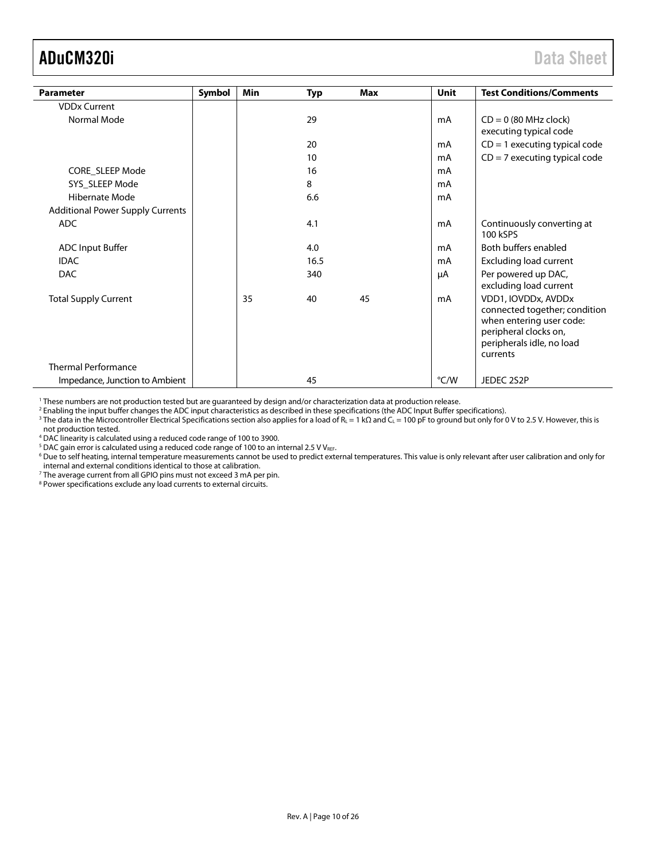<span id="page-9-0"></span>

| <b>Parameter</b>                                          | Symbol | Min | <b>Typ</b> | Max | Unit | <b>Test Conditions/Comments</b>                                                                                                                    |
|-----------------------------------------------------------|--------|-----|------------|-----|------|----------------------------------------------------------------------------------------------------------------------------------------------------|
| <b>VDDx Current</b>                                       |        |     |            |     |      |                                                                                                                                                    |
| Normal Mode                                               |        |     | 29         |     | mA   | $CD = 0$ (80 MHz clock)<br>executing typical code                                                                                                  |
|                                                           |        |     | 20         |     | mA   | $CD = 1$ executing typical code                                                                                                                    |
|                                                           |        |     | 10         |     | mA   | $CD = 7$ executing typical code                                                                                                                    |
| CORE SLEEP Mode                                           |        |     | 16         |     | mA   |                                                                                                                                                    |
| SYS SLEEP Mode                                            |        |     | 8          |     | mA   |                                                                                                                                                    |
| Hibernate Mode                                            |        |     | 6.6        |     | mA   |                                                                                                                                                    |
| <b>Additional Power Supply Currents</b>                   |        |     |            |     |      |                                                                                                                                                    |
| <b>ADC</b>                                                |        |     | 4.1        |     | mA   | Continuously converting at<br>100 kSPS                                                                                                             |
| <b>ADC Input Buffer</b>                                   |        |     | 4.0        |     | mA   | Both buffers enabled                                                                                                                               |
| <b>IDAC</b>                                               |        |     | 16.5       |     | mA   | <b>Excluding load current</b>                                                                                                                      |
| <b>DAC</b>                                                |        |     | 340        |     | μA   | Per powered up DAC,<br>excluding load current                                                                                                      |
| <b>Total Supply Current</b><br><b>Thermal Performance</b> |        | 35  | 40         | 45  | mA   | VDD1, IOVDDx, AVDDx<br>connected together; condition<br>when entering user code:<br>peripheral clocks on,<br>peripherals idle, no load<br>currents |
| Impedance, Junction to Ambient                            |        |     | 45         |     | °C/W | JEDEC 2S2P                                                                                                                                         |

<sup>1</sup> These numbers are not production tested but are guaranteed by design and/or characterization data at production release.

<sup>2</sup> Enabling the input buffer changes the ADC input characteristics as described in these specifications (the ADC Input Buffer specifications).

<sup>3</sup> The data in the [Microcontroller Electrical Specifications](#page-4-1) section also applies for a load of R<sub>L</sub> = 1 kΩ and C<sub>L</sub> = 100 pF to ground but only for 0 V to 2.5 V. However, this is not production tested.

<sup>4</sup> DAC linearity is calculated using a reduced code range of 100 to 3900.

 $5$  DAC gain error is calculated using a reduced code range of 100 to an internal 2.5 V VREF.

<sup>6</sup> Due to self heating, internal temperature measurements cannot be used to predict external temperatures. This value is only relevant after user calibration and only for internal and external conditions identical to those at calibration.

<sup>7</sup> The average current from all GPIO pins must not exceed 3 mA per pin.

<sup>8</sup> Power specifications exclude any load currents to external circuits.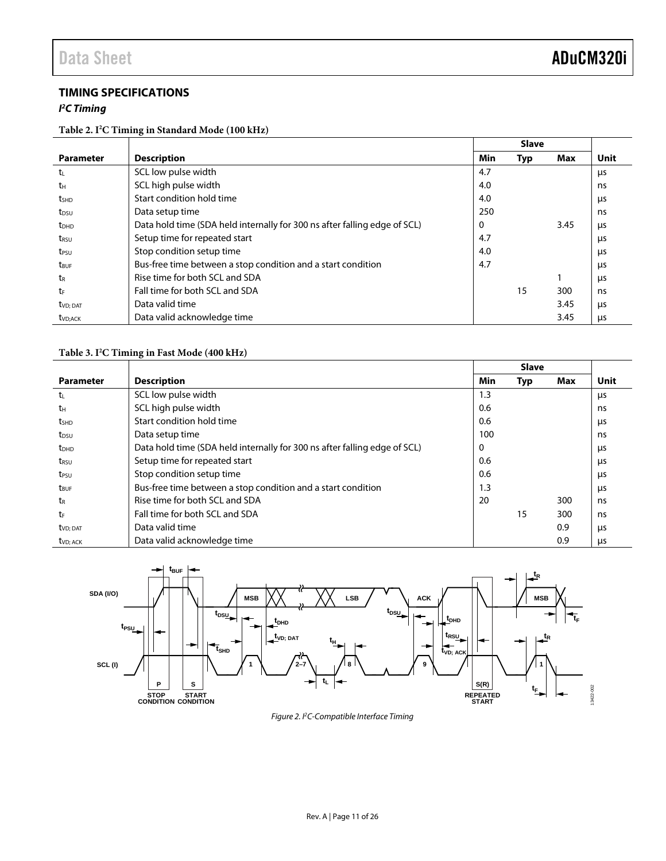### <span id="page-10-0"></span>**TIMING SPECIFICATIONS**

### *I 2 C Timing*

### **Table 2. I2 C Timing in Standard Mode (100 kHz)**

|                         |                                                                           |     | <b>Slave</b> |      |             |
|-------------------------|---------------------------------------------------------------------------|-----|--------------|------|-------------|
| <b>Parameter</b>        | <b>Description</b>                                                        | Min | <b>Typ</b>   | Max  | <b>Unit</b> |
| t                       | SCL low pulse width                                                       | 4.7 |              |      | μs          |
| tн                      | SCL high pulse width                                                      | 4.0 |              |      | ns          |
| t <sub>SHD</sub>        | Start condition hold time                                                 | 4.0 |              |      | μs          |
| t <sub>DSU</sub>        | Data setup time                                                           | 250 |              |      | ns          |
| <b>t</b> <sub>DHD</sub> | Data hold time (SDA held internally for 300 ns after falling edge of SCL) | 0   |              | 3.45 | μs          |
| t <sub>rsu</sub>        | Setup time for repeated start                                             | 4.7 |              |      | μs          |
| t <sub>PSU</sub>        | Stop condition setup time                                                 | 4.0 |              |      | μs          |
| t <sub>BUF</sub>        | Bus-free time between a stop condition and a start condition              | 4.7 |              |      | μs          |
| t <sub>R</sub>          | Rise time for both SCL and SDA                                            |     |              |      | us          |
| tr                      | Fall time for both SCL and SDA                                            |     | 15           | 300  | ns          |
| tv <sub>D</sub> ; dat   | Data valid time                                                           |     |              | 3.45 | μs          |
| t <sub>VD:ACK</sub>     | Data valid acknowledge time                                               |     |              | 3.45 | μs          |

### **Table 3. I2 C Timing in Fast Mode (400 kHz)**

|                       |                                                                           |     | <b>Slave</b> |     |      |
|-----------------------|---------------------------------------------------------------------------|-----|--------------|-----|------|
| <b>Parameter</b>      | <b>Description</b>                                                        | Min | Typ          | Max | Unit |
| $t_{L}$               | SCL low pulse width                                                       | 1.3 |              |     | μs   |
| tн                    | SCL high pulse width                                                      | 0.6 |              |     | ns   |
| t <sub>SHD</sub>      | Start condition hold time                                                 | 0.6 |              |     | μs   |
| t <sub>DSU</sub>      | Data setup time                                                           | 100 |              |     | ns   |
| t <sub>DHD</sub>      | Data hold time (SDA held internally for 300 ns after falling edge of SCL) | 0   |              |     | μs   |
| t <sub>RSU</sub>      | Setup time for repeated start                                             | 0.6 |              |     | μs   |
| t <sub>PSU</sub>      | Stop condition setup time                                                 | 0.6 |              |     | μs   |
| t <sub>BUF</sub>      | Bus-free time between a stop condition and a start condition              | 1.3 |              |     | μs   |
| tr                    | Rise time for both SCL and SDA                                            | 20  |              | 300 | ns   |
| tr                    | Fall time for both SCL and SDA                                            |     | 15           | 300 | ns   |
| tv <sub>D</sub> ; dat | Data valid time                                                           |     |              | 0.9 | μs   |
| t <sub>VD</sub> ; ACK | Data valid acknowledge time                                               |     |              | 0.9 | μs   |



*Figure 2. I2C-Compatible Interface Timing*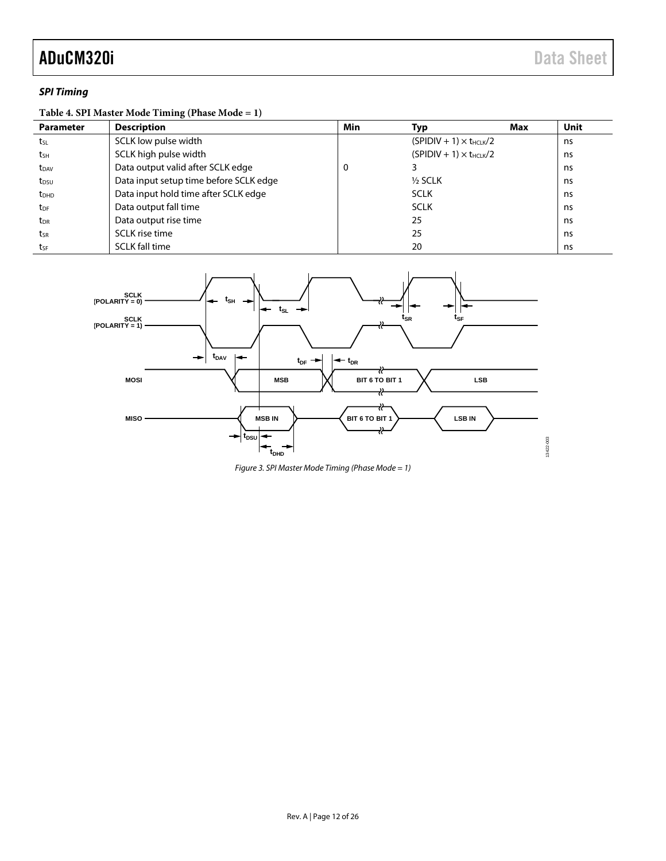### *SPI Timing*

### **Table 4. SPI Master Mode Timing (Phase Mode = 1)**

| <b>Parameter</b>        | <b>Description</b>                     | Min | Typ                              | Max | Unit |
|-------------------------|----------------------------------------|-----|----------------------------------|-----|------|
| tsL                     | SCLK low pulse width                   |     | $(SPIDIV + 1) \times t_{HCLK}/2$ |     | ns   |
| tsH                     | SCLK high pulse width                  |     | $(SPIDIV + 1) \times t_{HCLK}/2$ |     | ns   |
| <b>t</b> <sub>DAV</sub> | Data output valid after SCLK edge      | U   |                                  |     | ns   |
| t <sub>DSU</sub>        | Data input setup time before SCLK edge |     | $1/2$ SCLK                       |     | ns   |
| <b>t</b> <sub>DHD</sub> | Data input hold time after SCLK edge   |     | <b>SCLK</b>                      |     | ns   |
| t <sub>DF</sub>         | Data output fall time                  |     | <b>SCLK</b>                      |     | ns   |
| t <sub>DR</sub>         | Data output rise time                  |     | 25                               |     | ns   |
| tsr                     | SCLK rise time                         |     | 25                               |     | ns   |
| tsF                     | <b>SCLK fall time</b>                  |     | 20                               |     | ns   |



*Figure 3. SPI Master Mode Timing (Phase Mode = 1)*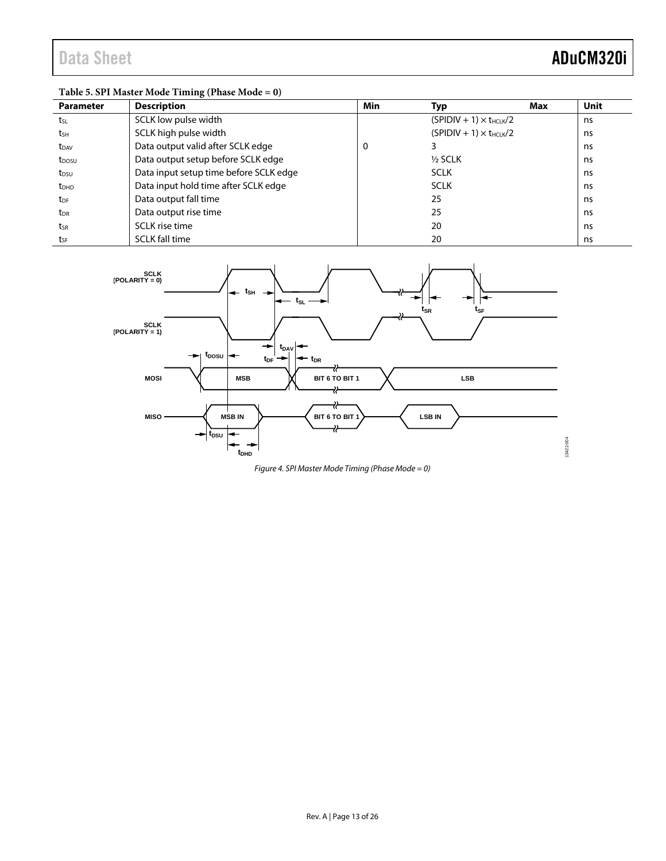## **Table 5. SPI Master Mode Timing (Phase Mode = 0)**

| <b>Parameter</b>       | <b>Description</b>                     | Min | Typ                              | Max | <b>Unit</b> |
|------------------------|----------------------------------------|-----|----------------------------------|-----|-------------|
| tsL                    | SCLK low pulse width                   |     | $(SPIDIV + 1) \times t_{HCLK}/2$ |     | ns          |
| tsн                    | SCLK high pulse width                  |     | $(SPIDIV + 1) \times t_{HCLK}/2$ |     | ns.         |
| t <sub>DAV</sub>       | Data output valid after SCLK edge      | 0   |                                  |     | ns.         |
| t <sub>DOSU</sub>      | Data output setup before SCLK edge     |     | $1/2$ SCLK                       |     | ns          |
| t <sub>DSU</sub>       | Data input setup time before SCLK edge |     | <b>SCLK</b>                      |     | ns          |
| $t_{DHD}$              | Data input hold time after SCLK edge   |     | <b>SCLK</b>                      |     | ns          |
| <b>t</b> <sub>DF</sub> | Data output fall time                  |     | 25                               |     | ns.         |
| $t_{\text{DR}}$        | Data output rise time                  |     | 25                               |     | ns          |
| tsr                    | SCLK rise time                         |     | 20                               |     | ns          |
| tsF                    | <b>SCLK fall time</b>                  |     | 20                               |     | ns          |



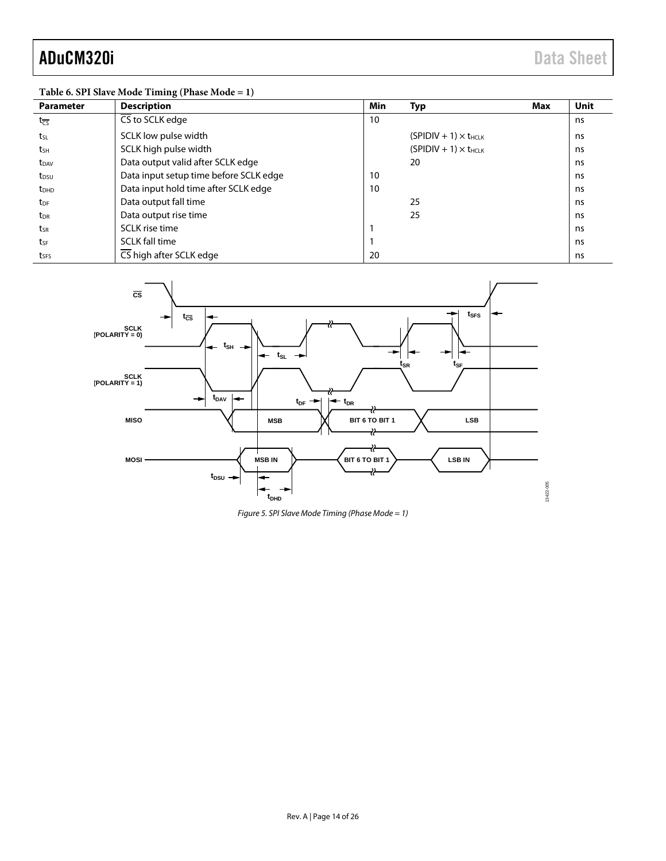### **Table 6. SPI Slave Mode Timing (Phase Mode = 1)**

| <b>Parameter</b>           | <b>Description</b>                     | Min | Typ<br>Max                     | Unit |
|----------------------------|----------------------------------------|-----|--------------------------------|------|
| $t_{\overline{\text{CS}}}$ | CS to SCLK edge                        | 10  |                                | ns   |
| tsL                        | SCLK low pulse width                   |     | $(SPIDIV + 1) \times t_{HCLK}$ | ns   |
| tsh                        | SCLK high pulse width                  |     | $(SPIDIV + 1) \times t_{HCLK}$ | ns   |
| t <sub>DAV</sub>           | Data output valid after SCLK edge      |     | 20                             | ns   |
| t <sub>DSU</sub>           | Data input setup time before SCLK edge | 10  |                                | ns   |
| <b>t</b> <sub>DHD</sub>    | Data input hold time after SCLK edge   | 10  |                                | ns   |
| t <sub>DF</sub>            | Data output fall time                  |     | 25                             | ns   |
| t <sub>DR</sub>            | Data output rise time                  |     | 25                             | ns   |
| tsr                        | SCLK rise time                         |     |                                | ns   |
| tsF                        | <b>SCLK fall time</b>                  |     |                                | ns   |
| tses                       | CS high after SCLK edge                | 20  |                                | ns   |



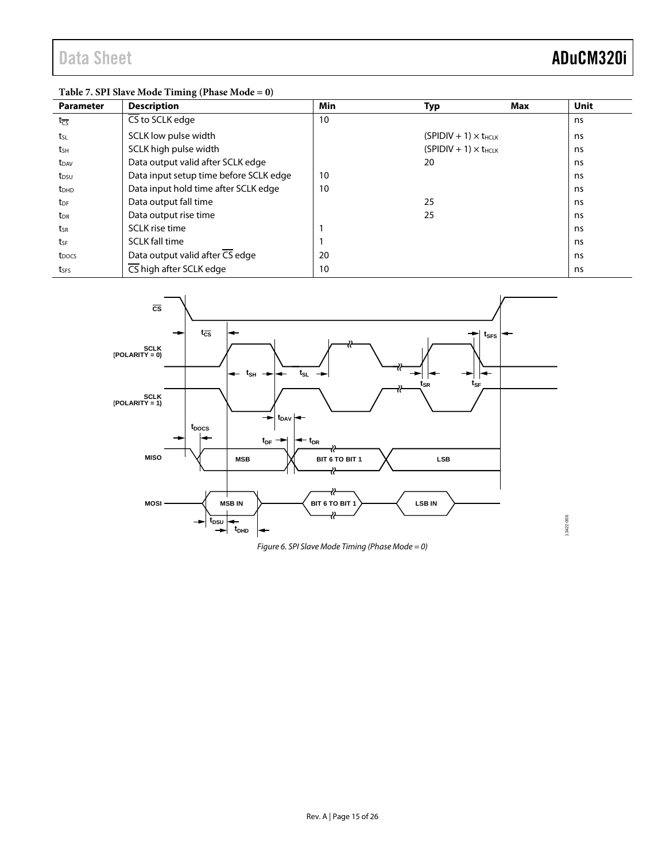13422-006

13422-006

## **Table 7. SPI Slave Mode Timing (Phase Mode = 0)**

| <b>Parameter</b>        | <b>Description</b>                     | Min | Typ                            | Max | Unit |
|-------------------------|----------------------------------------|-----|--------------------------------|-----|------|
| $t_{\overline{CS}}$     | $\overline{\text{CS}}$ to SCLK edge    | 10  |                                |     | ns   |
| tsL                     | SCLK low pulse width                   |     | $(SPIDIV + 1) \times t_{HCLK}$ |     | ns   |
| tsh                     | SCLK high pulse width                  |     | $(SPIDIV + 1) \times t_{HCLK}$ |     | ns   |
| t <sub>DAV</sub>        | Data output valid after SCLK edge      |     | 20                             |     | ns   |
| t <sub>DSU</sub>        | Data input setup time before SCLK edge | 10  |                                |     | ns   |
| <b>t</b> <sub>DHD</sub> | Data input hold time after SCLK edge   | 10  |                                |     | ns   |
| t <sub>DF</sub>         | Data output fall time                  |     | 25                             |     | ns   |
| t <sub>DR</sub>         | Data output rise time                  |     | 25                             |     | ns   |
| tsr                     | SCLK rise time                         |     |                                |     | ns   |
| tsf                     | <b>SCLK fall time</b>                  |     |                                |     | ns   |
| t <sub>DOCS</sub>       | Data output valid after CS edge        | 20  |                                |     | ns   |
| tses                    | CS high after SCLK edge                | 10  |                                |     | ns   |



*Figure 6. SPI Slave Mode Timing (Phase Mode = 0)*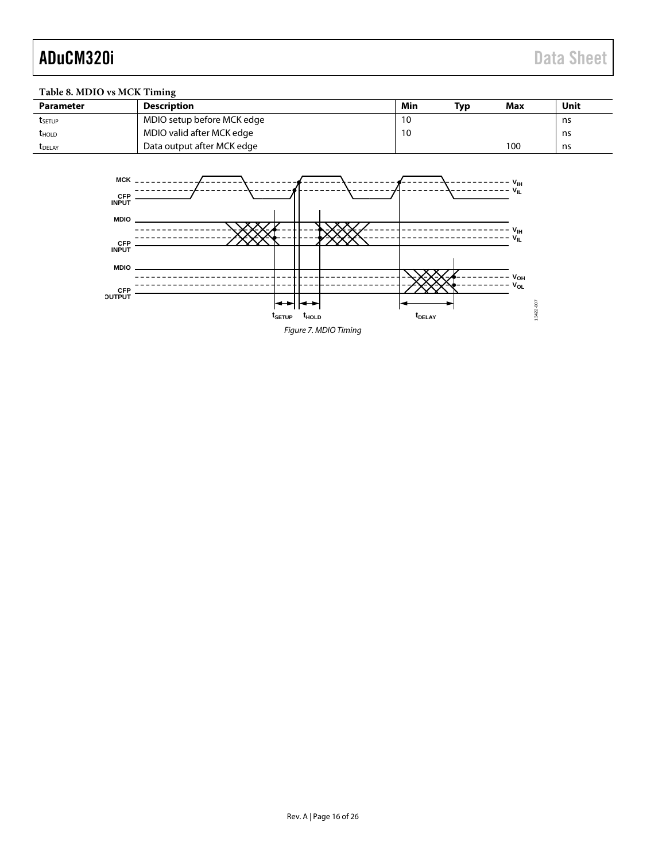## **Table 8. MDIO vs MCK Timing**

| <b>Parameter</b> | Description                | Min | Tvp | Max | Unit |
|------------------|----------------------------|-----|-----|-----|------|
| tsetup           | MDIO setup before MCK edge | 10  |     |     | ns   |
| <b>THOLD</b>     | MDIO valid after MCK edge  | 10  |     |     | ns   |
| <b>T</b> DELAY   | Data output after MCK edge |     |     | 100 | ns   |

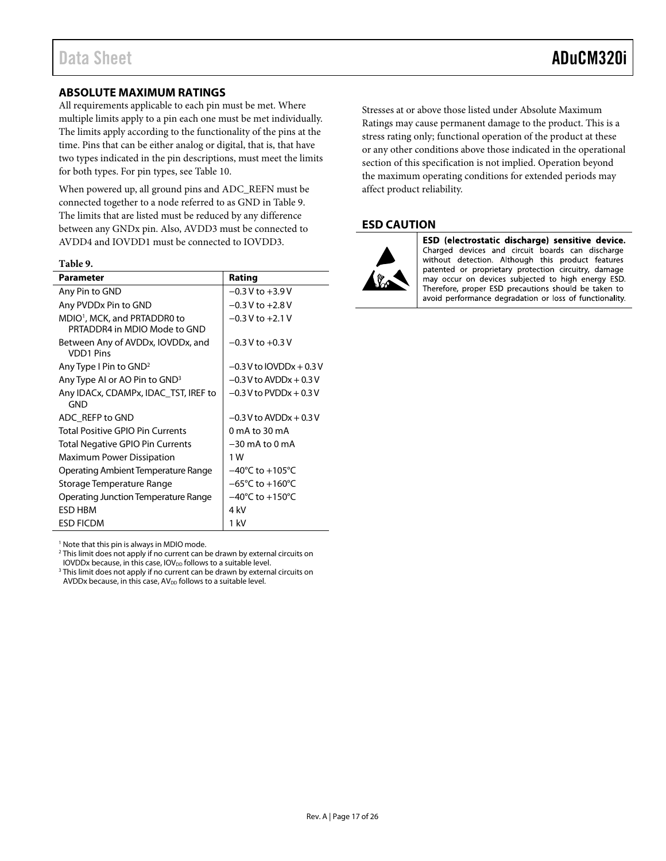### <span id="page-16-0"></span>**ABSOLUTE MAXIMUM RATINGS**

All requirements applicable to each pin must be met. Where multiple limits apply to a pin each one must be met individually. The limits apply according to the functionality of the pins at the time. Pins that can be either analog or digital, that is, that have two types indicated in the pin descriptions, must meet the limits for both types. For pin types, se[e Table 10.](#page-17-1)

When powered up, all ground pins and ADC\_REFN must be connected together to a node referred to as GND i[n Table 9.](#page-16-2) The limits that are listed must be reduced by any difference between any GNDx pin. Also, AVDD3 must be connected to AVDD4 and IOVDD1 must be connected to IOVDD3.

### <span id="page-16-2"></span>**Table 9.**

| Parameter                                                                | Rating                              |
|--------------------------------------------------------------------------|-------------------------------------|
| Any Pin to GND                                                           | $-0.3$ V to $+3.9$ V                |
| Any PVDDx Pin to GND                                                     | $-0.3$ V to $+2.8$ V                |
| MDIO <sup>1</sup> , MCK, and PRTADDR0 to<br>PRTADDR4 in MDIO Mode to GND | $-0.3$ V to $+2.1$ V                |
| Between Any of AVDDx, IOVDDx, and<br><b>VDD1 Pins</b>                    | $-0.3$ V to $+0.3$ V                |
| Any Type I Pin to GND <sup>2</sup>                                       | $-0.3$ V to IOVDDx + 0.3 V          |
| Any Type AI or AO Pin to GND <sup>3</sup>                                | $-0.3$ V to AVDDx $+0.3$ V          |
| Any IDACx, CDAMPx, IDAC_TST, IREF to<br>GND                              | $-0.3$ V to PVDDx $+0.3$ V          |
| ADC REFP to GND                                                          | $-0.3$ V to AVDDx $+0.3$ V          |
| <b>Total Positive GPIO Pin Currents</b>                                  | 0 mA to 30 mA                       |
| Total Negative GPIO Pin Currents                                         | $-30$ mA to $0$ mA                  |
| <b>Maximum Power Dissipation</b>                                         | 1 W                                 |
| Operating Ambient Temperature Range                                      | $-40^{\circ}$ C to $+105^{\circ}$ C |
| Storage Temperature Range                                                | $-65^{\circ}$ C to $+160^{\circ}$ C |
| Operating Junction Temperature Range                                     | $-40^{\circ}$ C to $+150^{\circ}$ C |
| ESD HBM                                                                  | 4 kV                                |
| <b>ESD FICDM</b>                                                         | 1 kV                                |

<sup>1</sup> Note that this pin is always in MDIO mode.

<sup>2</sup> This limit does not apply if no current can be drawn by external circuits on

IOVDDx because, in this case,  $IOV_{DD}$  follows to a suitable level.

<sup>3</sup> This limit does not apply if no current can be drawn by external circuits on AVDDx because, in this case,  $AV_{DD}$  follows to a suitable level.

Stresses at or above those listed under Absolute Maximum Ratings may cause permanent damage to the product. This is a stress rating only; functional operation of the product at these or any other conditions above those indicated in the operational section of this specification is not implied. Operation beyond the maximum operating conditions for extended periods may affect product reliability.

### <span id="page-16-1"></span>**ESD CAUTION**



ESD (electrostatic discharge) sensitive device. Charged devices and circuit boards can discharge without detection. Although this product features patented or proprietary protection circuitry, damage may occur on devices subjected to high energy ESD. Therefore, proper ESD precautions should be taken to avoid performance degradation or loss of functionality.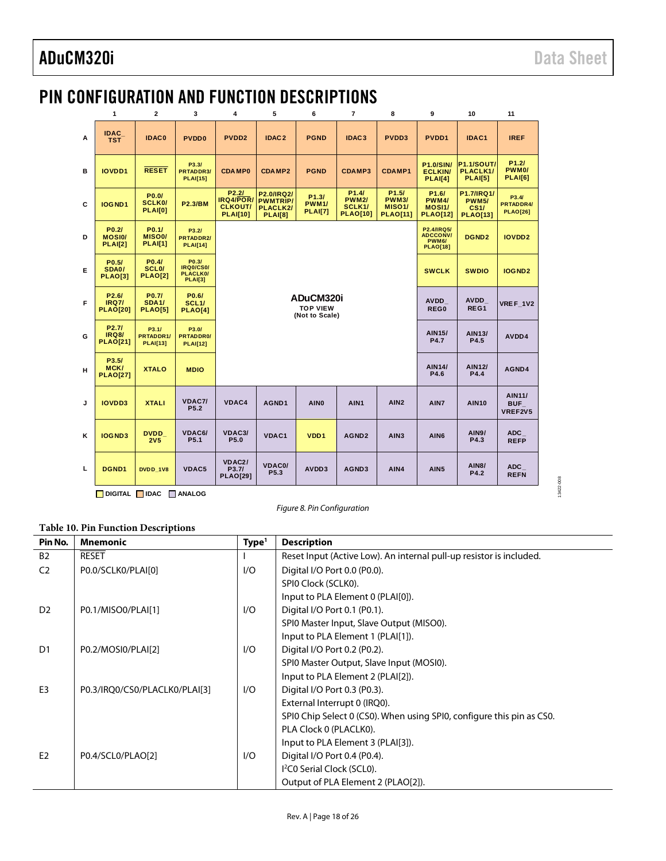13422-008

13422-008

## <span id="page-17-0"></span>PIN CONFIGURATION AND FUNCTION DESCRIPTIONS

|   | 1                                                       | $\overline{2}$                                | 3                                                       | 5<br>4                                                                |                                                             | $\overline{7}$<br>6<br>8                       |                                                                                            | 9                                                                            | 10                                                                     | 11                                                    |                                        |
|---|---------------------------------------------------------|-----------------------------------------------|---------------------------------------------------------|-----------------------------------------------------------------------|-------------------------------------------------------------|------------------------------------------------|--------------------------------------------------------------------------------------------|------------------------------------------------------------------------------|------------------------------------------------------------------------|-------------------------------------------------------|----------------------------------------|
| A | <b>IDAC</b><br><b>TST</b>                               | <b>IDAC0</b>                                  | <b>PVDD0</b>                                            | PVDD <sub>2</sub>                                                     | IDAC <sub>2</sub>                                           |                                                | IDAC <sub>3</sub>                                                                          | PVDD3                                                                        | PVDD1                                                                  | IDAC1                                                 | <b>IREF</b>                            |
| B | <b>IOVDD1</b>                                           | <b>RESET</b>                                  | P3.3/<br><b>PRTADDR3/</b><br><b>PLAI[15]</b>            | <b>CDAMP0</b>                                                         | CDAMP2                                                      | <b>PGND</b>                                    | <b>CDAMP3</b>                                                                              | <b>CDAMP1</b>                                                                | <b>P1.0/SIN/</b><br><b>ECLKIN/</b><br><b>PLAI[4]</b>                   | <b>P1.1/SOUT/</b><br>PLACLK1/<br><b>PLAI[5]</b>       | P1.2I<br>PWM <sub>0</sub> /<br>PLAI[6] |
| C | IOGND1                                                  | P0.0/<br><b>SCLK0/</b><br><b>PLAI[0]</b>      | <b>P2.3/BM</b>                                          | P <sub>2.2</sub> /<br>IRQ4/POR/<br><b>CLKOUT/</b><br><b>PLAI[10]</b>  | P2.0/IRQ2/<br><b>PWMTRIP/</b><br>PLACLK2/<br><b>PLAI[8]</b> | P1.3/<br><b>PWM1/</b><br><b>PLAI[7]</b>        | P <sub>1.4</sub> /<br><b>PWM2/</b><br>SCLK <sub>1</sub> /<br><b>PLAO[10]</b>               | P <sub>1.5</sub> /<br><b>PWM3/</b><br>MISO <sub>1</sub> /<br><b>PLAO[11]</b> | P <sub>1.6</sub> /<br><b>PWM4/</b><br><b>MOSI1/</b><br><b>PLAO[12]</b> | P1.7/IRQ1/<br><b>PWM5/</b><br>CS1/<br><b>PLAO[13]</b> | P3.4/<br>PRTADDR4/<br><b>PLAO[26]</b>  |
| D | P <sub>0.2</sub><br>MOSI <sub>0</sub><br><b>PLAI[2]</b> | P <sub>0.1</sub><br>MISO0/<br><b>PLAI[1]</b>  | P3.2/<br><b>PRTADDR2/</b><br><b>PLAI[14]</b>            |                                                                       |                                                             |                                                | P <sub>2.4</sub> /IRQ <sub>5</sub> /<br><b>ADCCONV/</b><br><b>PWM6/</b><br><b>PLAO[18]</b> | DGND <sub>2</sub>                                                            | <b>IOVDD2</b>                                                          |                                                       |                                        |
| Е | P0.5/<br>SDA0/<br><b>PLAO[3]</b>                        | P0.4/<br>SCL <sub>0</sub> /<br><b>PLAO[2]</b> | P0.3/<br><b>IRQ0/CS0/</b><br>PLACLK0/<br><b>PLAI[3]</b> |                                                                       |                                                             |                                                |                                                                                            | <b>SWCLK</b>                                                                 | <b>SWDIO</b>                                                           | IOGND <sub>2</sub>                                    |                                        |
| F | P <sub>2.6</sub> /<br><b>IRQ7/</b><br><b>PLAO[20]</b>   | P0.7/<br><b>SDA1/</b><br><b>PLAO[5]</b>       | P0.6/<br>SCL <sub>1</sub> /<br>PLAO[4]                  |                                                                       |                                                             | ADuCM320i<br><b>TOP VIEW</b><br>(Not to Scale) |                                                                                            | <b>AVDD</b><br>REG0                                                          | <b>AVDD</b><br>REG1                                                    | VREF 1V2                                              |                                        |
| G | P <sub>2.7</sub> /<br><b>IRQ8/</b><br><b>PLAO[21]</b>   | P3.1/<br>PRTADDR1/<br><b>PLAI[13]</b>         | P3.0/<br><b>PRTADDR0/</b><br><b>PLAI[12]</b>            |                                                                       |                                                             |                                                |                                                                                            | <b>AIN15/</b><br><b>P4.7</b>                                                 | AIN13/<br>P4.5                                                         | AVDD4                                                 |                                        |
| н | P3.5/<br>MCK/<br><b>PLAO[27]</b>                        | <b>XTALO</b>                                  | <b>MDIO</b>                                             |                                                                       |                                                             |                                                |                                                                                            | <b>AIN14/</b><br>P4.6                                                        | <b>AIN12/</b><br>P4.4                                                  | AGND4                                                 |                                        |
| J | <b>IOVDD3</b>                                           | <b>XTALI</b>                                  | VDAC7/<br>P <sub>5.2</sub>                              | VDAC4<br>AGND1<br><b>AIN0</b><br>AIN <sub>1</sub><br>AIN <sub>2</sub> |                                                             |                                                |                                                                                            |                                                                              |                                                                        | <b>AIN10</b>                                          | <b>AIN11/</b><br><b>BUF</b><br>VREF2V5 |
| ĸ | <b>IOGND3</b>                                           | <b>DVDD</b><br>2V <sub>5</sub>                | VDAC6/<br>P <sub>5.1</sub>                              | VDAC3/<br>P5.0                                                        | VDAC1                                                       | VDD <sub>1</sub>                               | AGND <sub>2</sub>                                                                          | AIN <sub>3</sub>                                                             | AIN <sub>6</sub>                                                       | <b>AIN9/</b><br>P4.3                                  | <b>ADC</b><br><b>REFP</b>              |
| L | DGND1                                                   | DVDD 1V8                                      | VDAC5                                                   | VDAC <sub>2</sub> /<br>P3.7/<br><b>PLAO[29]</b>                       | <b>VDAC0/</b><br>P <sub>5.3</sub>                           | AVDD3                                          | AGND3                                                                                      | AIN4                                                                         | AIN <sub>5</sub>                                                       | <b>AIN8/</b><br>P4.2                                  | <b>ADC</b><br><b>REFN</b>              |

**DIGITAL IDAC ANALOG**

*Figure 8. Pin Configuration*

### <span id="page-17-1"></span>**Table 10. Pin Function Descriptions**

|                | -wore 10, 1 m 1 where the source we have |                   |                                                                       |
|----------------|------------------------------------------|-------------------|-----------------------------------------------------------------------|
| Pin No.        | <b>Mnemonic</b>                          | Type <sup>1</sup> | <b>Description</b>                                                    |
| <b>B2</b>      | <b>RESET</b>                             |                   | Reset Input (Active Low). An internal pull-up resistor is included.   |
| C <sub>2</sub> | P0.0/SCLK0/PLAI[0]                       | I/O               | Digital I/O Port 0.0 (P0.0).                                          |
|                |                                          |                   | SPIO Clock (SCLKO).                                                   |
|                |                                          |                   | Input to PLA Element 0 (PLAI[0]).                                     |
| D <sub>2</sub> | P0.1/MISO0/PLAI[1]                       | I/O               | Digital I/O Port 0.1 (P0.1).                                          |
|                |                                          |                   | SPIO Master Input, Slave Output (MISO0).                              |
|                |                                          |                   | Input to PLA Element 1 (PLAI[1]).                                     |
| D1             | P0.2/MOSI0/PLAI[2]                       | I/O               | Digital I/O Port 0.2 (P0.2).                                          |
|                |                                          |                   | SPI0 Master Output, Slave Input (MOSI0).                              |
|                |                                          |                   | Input to PLA Element 2 (PLAI[2]).                                     |
| E <sub>3</sub> | P0.3/IRQ0/CS0/PLACLK0/PLAI[3]            | I/O               | Digital I/O Port 0.3 (P0.3).                                          |
|                |                                          |                   | External Interrupt 0 (IRQ0).                                          |
|                |                                          |                   | SPIO Chip Select 0 (CSO). When using SPIO, configure this pin as CSO. |
|                |                                          |                   | PLA Clock 0 (PLACLK0).                                                |
|                |                                          |                   | Input to PLA Element 3 (PLAI[3]).                                     |
| E <sub>2</sub> | P0.4/SCL0/PLAO[2]                        | I/O               | Digital I/O Port 0.4 (P0.4).                                          |
|                |                                          |                   | I <sup>2</sup> C0 Serial Clock (SCL0).                                |
|                |                                          |                   | Output of PLA Element 2 (PLAO[2]).                                    |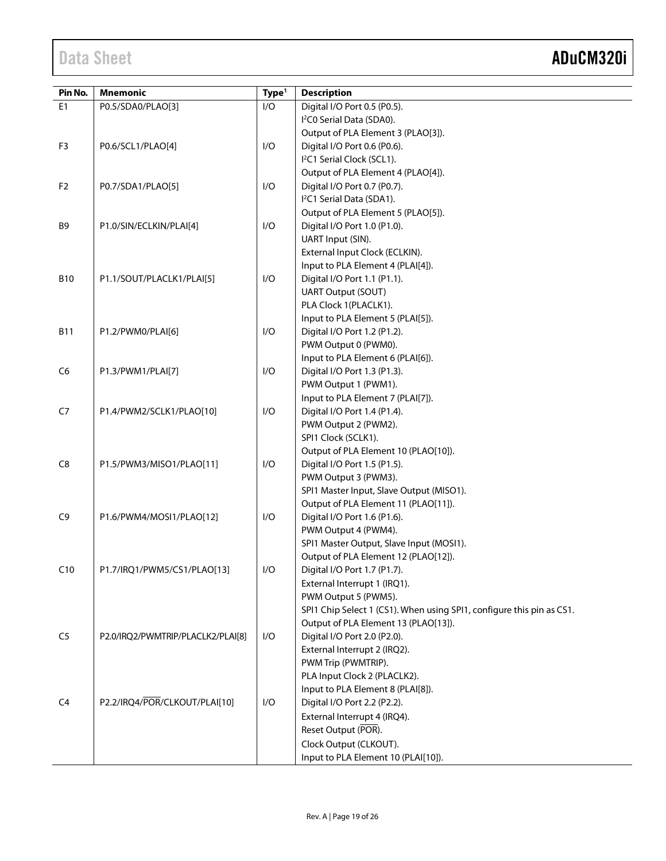| Pin No.        | <b>Mnemonic</b>                   | Type <sup>1</sup> | <b>Description</b>                                                    |
|----------------|-----------------------------------|-------------------|-----------------------------------------------------------------------|
| E <sub>1</sub> | P0.5/SDA0/PLAO[3]                 | I/O               | Digital I/O Port 0.5 (P0.5).                                          |
|                |                                   |                   | I <sup>2</sup> C0 Serial Data (SDA0).                                 |
|                |                                   |                   | Output of PLA Element 3 (PLAO[3]).                                    |
| F <sub>3</sub> | P0.6/SCL1/PLAO[4]                 | I/O               | Digital I/O Port 0.6 (P0.6).                                          |
|                |                                   |                   | I <sup>2</sup> C1 Serial Clock (SCL1).                                |
|                |                                   |                   | Output of PLA Element 4 (PLAO[4]).                                    |
| F <sub>2</sub> | P0.7/SDA1/PLAO[5]                 | I/O               | Digital I/O Port 0.7 (P0.7).                                          |
|                |                                   |                   | I <sup>2</sup> C1 Serial Data (SDA1).                                 |
|                |                                   |                   | Output of PLA Element 5 (PLAO[5]).                                    |
| B <sub>9</sub> | P1.0/SIN/ECLKIN/PLAI[4]           | I/O               | Digital I/O Port 1.0 (P1.0).                                          |
|                |                                   |                   | UART Input (SIN).                                                     |
|                |                                   |                   | External Input Clock (ECLKIN).                                        |
|                |                                   |                   | Input to PLA Element 4 (PLAI[4]).                                     |
| <b>B10</b>     | P1.1/SOUT/PLACLK1/PLAI[5]         | I/O               | Digital I/O Port 1.1 (P1.1).                                          |
|                |                                   |                   | <b>UART Output (SOUT)</b>                                             |
|                |                                   |                   | PLA Clock 1(PLACLK1).                                                 |
|                |                                   |                   | Input to PLA Element 5 (PLAI[5]).                                     |
| <b>B11</b>     | P1.2/PWM0/PLAI[6]                 | I/O               | Digital I/O Port 1.2 (P1.2).                                          |
|                |                                   |                   | PWM Output 0 (PWM0).                                                  |
|                |                                   |                   | Input to PLA Element 6 (PLAI[6]).                                     |
| C <sub>6</sub> | P1.3/PWM1/PLAI[7]                 | I/O               | Digital I/O Port 1.3 (P1.3).                                          |
|                |                                   |                   | PWM Output 1 (PWM1).                                                  |
|                |                                   |                   | Input to PLA Element 7 (PLAI[7]).                                     |
| C7             | P1.4/PWM2/SCLK1/PLAO[10]          | I/O               | Digital I/O Port 1.4 (P1.4).                                          |
|                |                                   |                   | PWM Output 2 (PWM2).                                                  |
|                |                                   |                   | SPI1 Clock (SCLK1).                                                   |
|                |                                   |                   | Output of PLA Element 10 (PLAO[10]).                                  |
| C8             | P1.5/PWM3/MISO1/PLAO[11]          | I/O               | Digital I/O Port 1.5 (P1.5).                                          |
|                |                                   |                   | PWM Output 3 (PWM3).                                                  |
|                |                                   |                   | SPI1 Master Input, Slave Output (MISO1).                              |
|                |                                   |                   | Output of PLA Element 11 (PLAO[11]).                                  |
| C <sub>9</sub> | P1.6/PWM4/MOSI1/PLAO[12]          | I/O               | Digital I/O Port 1.6 (P1.6).                                          |
|                |                                   |                   | PWM Output 4 (PWM4).                                                  |
|                |                                   |                   | SPI1 Master Output, Slave Input (MOSI1).                              |
|                |                                   |                   | Output of PLA Element 12 (PLAO[12]).                                  |
| C10            | P1.7/IRQ1/PWM5/CS1/PLAO[13]       | I/O               | Digital I/O Port 1.7 (P1.7).                                          |
|                |                                   |                   | External Interrupt 1 (IRQ1).                                          |
|                |                                   |                   | PWM Output 5 (PWM5).                                                  |
|                |                                   |                   | SPI1 Chip Select 1 (CS1). When using SPI1, configure this pin as CS1. |
| C <sub>5</sub> |                                   | I/O               | Output of PLA Element 13 (PLAO[13]).                                  |
|                | P2.0/IRQ2/PWMTRIP/PLACLK2/PLAI[8] |                   | Digital I/O Port 2.0 (P2.0).<br>External Interrupt 2 (IRQ2).          |
|                |                                   |                   | PWM Trip (PWMTRIP).                                                   |
|                |                                   |                   | PLA Input Clock 2 (PLACLK2).                                          |
|                |                                   |                   | Input to PLA Element 8 (PLAI[8]).                                     |
| C <sub>4</sub> | P2.2/IRQ4/POR/CLKOUT/PLAI[10]     | I/O               | Digital I/O Port 2.2 (P2.2).                                          |
|                |                                   |                   | External Interrupt 4 (IRQ4).                                          |
|                |                                   |                   | Reset Output (POR).                                                   |
|                |                                   |                   | Clock Output (CLKOUT).                                                |
|                |                                   |                   |                                                                       |
|                |                                   |                   | Input to PLA Element 10 (PLAI[10]).                                   |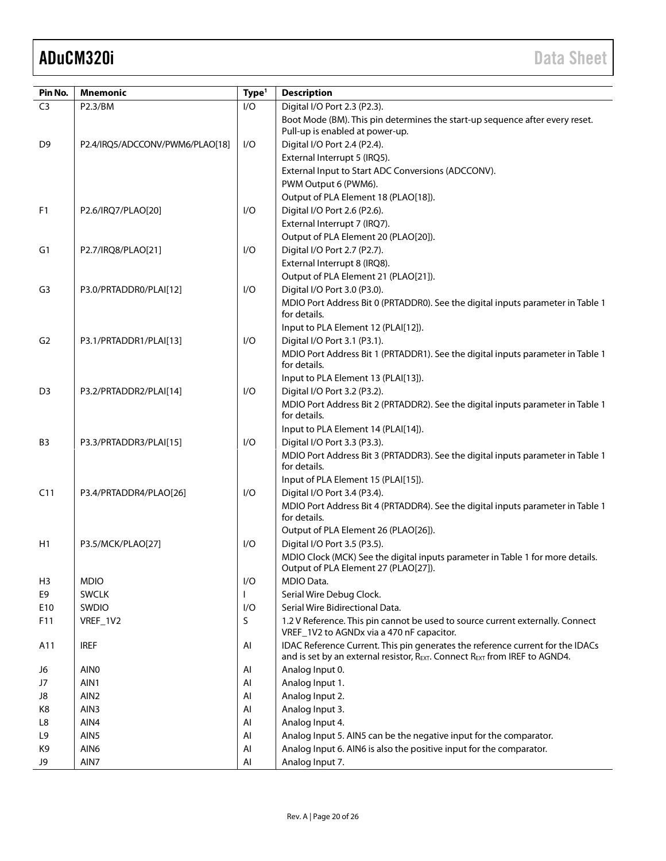| Pin No.        | <b>Mnemonic</b>                 | Type <sup>1</sup> | <b>Description</b>                                                                                                                        |
|----------------|---------------------------------|-------------------|-------------------------------------------------------------------------------------------------------------------------------------------|
| C <sub>3</sub> | P2.3/BM                         | 1/O               | Digital I/O Port 2.3 (P2.3).                                                                                                              |
|                |                                 |                   | Boot Mode (BM). This pin determines the start-up sequence after every reset.                                                              |
|                |                                 |                   | Pull-up is enabled at power-up.                                                                                                           |
| D <sub>9</sub> | P2.4/IRQ5/ADCCONV/PWM6/PLAO[18] | I/O               | Digital I/O Port 2.4 (P2.4).                                                                                                              |
|                |                                 |                   | External Interrupt 5 (IRQ5).                                                                                                              |
|                |                                 |                   | External Input to Start ADC Conversions (ADCCONV).                                                                                        |
|                |                                 |                   | PWM Output 6 (PWM6).                                                                                                                      |
|                |                                 |                   | Output of PLA Element 18 (PLAO[18]).                                                                                                      |
| F <sub>1</sub> | P2.6/IRQ7/PLAO[20]              | I/O               | Digital I/O Port 2.6 (P2.6).                                                                                                              |
|                |                                 |                   | External Interrupt 7 (IRQ7).                                                                                                              |
|                |                                 |                   | Output of PLA Element 20 (PLAO[20]).                                                                                                      |
| G1             | P2.7/IRQ8/PLAO[21]              | I/O               | Digital I/O Port 2.7 (P2.7).                                                                                                              |
|                |                                 |                   | External Interrupt 8 (IRQ8).                                                                                                              |
|                |                                 |                   | Output of PLA Element 21 (PLAO[21]).                                                                                                      |
| G <sub>3</sub> | P3.0/PRTADDR0/PLAI[12]          | I/O               | Digital I/O Port 3.0 (P3.0).                                                                                                              |
|                |                                 |                   | MDIO Port Address Bit 0 (PRTADDR0). See the digital inputs parameter in Table 1<br>for details.                                           |
|                |                                 |                   | Input to PLA Element 12 (PLAI[12]).                                                                                                       |
| G <sub>2</sub> | P3.1/PRTADDR1/PLAI[13]          | I/O               | Digital I/O Port 3.1 (P3.1).                                                                                                              |
|                |                                 |                   | MDIO Port Address Bit 1 (PRTADDR1). See the digital inputs parameter in Table 1                                                           |
|                |                                 |                   | for details.                                                                                                                              |
|                |                                 |                   | Input to PLA Element 13 (PLAI[13]).                                                                                                       |
| D <sub>3</sub> | P3.2/PRTADDR2/PLAI[14]          | I/O               | Digital I/O Port 3.2 (P3.2).                                                                                                              |
|                |                                 |                   | MDIO Port Address Bit 2 (PRTADDR2). See the digital inputs parameter in Table 1                                                           |
|                |                                 |                   | for details.                                                                                                                              |
|                |                                 |                   | Input to PLA Element 14 (PLAI[14]).                                                                                                       |
| B <sub>3</sub> | P3.3/PRTADDR3/PLAI[15]          | I/O               | Digital I/O Port 3.3 (P3.3).                                                                                                              |
|                |                                 |                   | MDIO Port Address Bit 3 (PRTADDR3). See the digital inputs parameter in Table 1                                                           |
|                |                                 |                   | for details.                                                                                                                              |
|                |                                 |                   | Input of PLA Element 15 (PLAI[15]).                                                                                                       |
| C11            | P3.4/PRTADDR4/PLAO[26]          | I/O               | Digital I/O Port 3.4 (P3.4).                                                                                                              |
|                |                                 |                   | MDIO Port Address Bit 4 (PRTADDR4). See the digital inputs parameter in Table 1<br>for details.                                           |
|                |                                 |                   | Output of PLA Element 26 (PLAO[26]).                                                                                                      |
| H1             | P3.5/MCK/PLAO[27]               | I/O               | Digital I/O Port 3.5 (P3.5).                                                                                                              |
|                |                                 |                   | MDIO Clock (MCK) See the digital inputs parameter in Table 1 for more details.                                                            |
|                |                                 |                   | Output of PLA Element 27 (PLAO[27]).                                                                                                      |
| H <sub>3</sub> | <b>MDIO</b>                     | I/O               | MDIO Data.                                                                                                                                |
| E9             | <b>SWCLK</b>                    |                   | Serial Wire Debug Clock.                                                                                                                  |
| E10            | SWDIO                           | I/O               | Serial Wire Bidirectional Data.                                                                                                           |
| F11            | VREF_1V2                        | S                 | 1.2 V Reference. This pin cannot be used to source current externally. Connect                                                            |
|                |                                 |                   | VREF_1V2 to AGNDx via a 470 nF capacitor.                                                                                                 |
| A11            | <b>IREF</b>                     | AI                | IDAC Reference Current. This pin generates the reference current for the IDACs                                                            |
|                |                                 |                   | and is set by an external resistor, $R_{\text{EXT}}$ . Connect $R_{\text{EXT}}$ from IREF to AGND4.                                       |
| J6             | <b>AINO</b>                     | Al                | Analog Input 0.                                                                                                                           |
| J7             | AIN1                            | Al                | Analog Input 1.                                                                                                                           |
| J8             | AIN <sub>2</sub>                | AI                | Analog Input 2.                                                                                                                           |
| K8             | AIN3                            | AI                | Analog Input 3.                                                                                                                           |
| L8<br>L9       | AIN4<br>AIN5                    | AI<br>AI          | Analog Input 4.                                                                                                                           |
| K9             | AIN6                            | Al                | Analog Input 5. AIN5 can be the negative input for the comparator.<br>Analog Input 6. AIN6 is also the positive input for the comparator. |
| J9             | AIN7                            | Al                | Analog Input 7.                                                                                                                           |
|                |                                 |                   |                                                                                                                                           |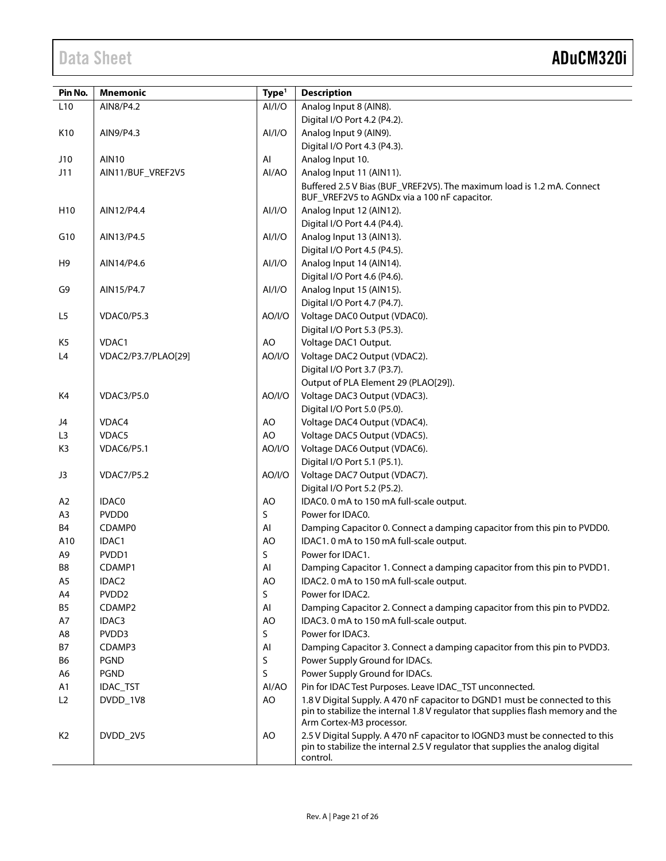| Pin No.         | <b>Mnemonic</b>     | Type <sup>1</sup> | <b>Description</b>                                                               |
|-----------------|---------------------|-------------------|----------------------------------------------------------------------------------|
| L <sub>10</sub> | AIN8/P4.2           | Al/I/O            | Analog Input 8 (AIN8).                                                           |
|                 |                     |                   | Digital I/O Port 4.2 (P4.2).                                                     |
| K10             | AIN9/P4.3           | Al/I/O            | Analog Input 9 (AIN9).                                                           |
|                 |                     |                   | Digital I/O Port 4.3 (P4.3).                                                     |
| J10             | <b>AIN10</b>        | AI                | Analog Input 10.                                                                 |
| J11             | AIN11/BUF_VREF2V5   | Al/AO             | Analog Input 11 (AIN11).                                                         |
|                 |                     |                   | Buffered 2.5 V Bias (BUF_VREF2V5). The maximum load is 1.2 mA. Connect           |
|                 |                     |                   | BUF_VREF2V5 to AGNDx via a 100 nF capacitor.                                     |
| H <sub>10</sub> | AIN12/P4.4          | AI/I/O            | Analog Input 12 (AIN12).                                                         |
|                 |                     |                   | Digital I/O Port 4.4 (P4.4).                                                     |
| G10             | AIN13/P4.5          | Al/I/O            | Analog Input 13 (AIN13).                                                         |
|                 |                     |                   | Digital I/O Port 4.5 (P4.5).                                                     |
| H <sub>9</sub>  | AIN14/P4.6          | Al/I/O            | Analog Input 14 (AIN14).                                                         |
|                 |                     |                   | Digital I/O Port 4.6 (P4.6).                                                     |
| G9              | AIN15/P4.7          | Al/I/O            | Analog Input 15 (AIN15).                                                         |
|                 |                     |                   | Digital I/O Port 4.7 (P4.7).                                                     |
| L5              | VDAC0/P5.3          | AO/I/O            | Voltage DAC0 Output (VDAC0).                                                     |
|                 |                     |                   | Digital I/O Port 5.3 (P5.3).                                                     |
| K <sub>5</sub>  | VDAC1               | AO                | Voltage DAC1 Output.                                                             |
| L4              | VDAC2/P3.7/PLAO[29] | AO/I/O            | Voltage DAC2 Output (VDAC2).                                                     |
|                 |                     |                   | Digital I/O Port 3.7 (P3.7).                                                     |
|                 |                     |                   | Output of PLA Element 29 (PLAO[29]).                                             |
| K4              | <b>VDAC3/P5.0</b>   | AO/I/O            | Voltage DAC3 Output (VDAC3).                                                     |
|                 |                     |                   | Digital I/O Port 5.0 (P5.0).                                                     |
| J4              | VDAC4               | AO                | Voltage DAC4 Output (VDAC4).                                                     |
| L <sub>3</sub>  | VDAC5               | AO                | Voltage DAC5 Output (VDAC5).                                                     |
| K <sub>3</sub>  | VDAC6/P5.1          | AO/I/O            | Voltage DAC6 Output (VDAC6).                                                     |
|                 |                     |                   | Digital I/O Port 5.1 (P5.1).                                                     |
| J3              | <b>VDAC7/P5.2</b>   | AO/I/O            | Voltage DAC7 Output (VDAC7).                                                     |
|                 |                     |                   | Digital I/O Port 5.2 (P5.2).                                                     |
| A <sub>2</sub>  | <b>IDAC0</b>        | <b>AO</b>         | IDAC0. 0 mA to 150 mA full-scale output.                                         |
| A <sub>3</sub>  | PVDD0               | S.                | Power for IDAC0.                                                                 |
| <b>B4</b>       | CDAMP0              | AI                | Damping Capacitor 0. Connect a damping capacitor from this pin to PVDD0.         |
| A10             | IDAC1               | AO                | IDAC1. 0 mA to 150 mA full-scale output.                                         |
| A9              | PVDD1               | S                 | Power for IDAC1.                                                                 |
| B8              | CDAMP1              | Al                | Damping Capacitor 1. Connect a damping capacitor from this pin to PVDD1.         |
| A <sub>5</sub>  | IDAC <sub>2</sub>   | AO                | IDAC2. 0 mA to 150 mA full-scale output.                                         |
| A4              | PVDD <sub>2</sub>   | S                 | Power for IDAC2.                                                                 |
| B <sub>5</sub>  | CDAMP2              | AI                | Damping Capacitor 2. Connect a damping capacitor from this pin to PVDD2.         |
| Α7              | IDAC3               | AO                | IDAC3. 0 mA to 150 mA full-scale output.                                         |
| A8              | PVDD3               | S                 | Power for IDAC3.                                                                 |
| <b>B7</b>       | CDAMP3              | AI                | Damping Capacitor 3. Connect a damping capacitor from this pin to PVDD3.         |
| B6              | <b>PGND</b>         | S                 | Power Supply Ground for IDACs.                                                   |
| A6              | <b>PGND</b>         | S                 | Power Supply Ground for IDACs.                                                   |
| A1              | <b>IDAC_TST</b>     | Al/AO             | Pin for IDAC Test Purposes. Leave IDAC_TST unconnected.                          |
| L2              | DVDD_1V8            | AO                | 1.8 V Digital Supply. A 470 nF capacitor to DGND1 must be connected to this      |
|                 |                     |                   | pin to stabilize the internal 1.8 V regulator that supplies flash memory and the |
|                 |                     |                   | Arm Cortex-M3 processor.                                                         |
| K <sub>2</sub>  | DVDD_2V5            | AO                | 2.5 V Digital Supply. A 470 nF capacitor to IOGND3 must be connected to this     |
|                 |                     |                   | pin to stabilize the internal 2.5 V regulator that supplies the analog digital   |
|                 |                     |                   | control.                                                                         |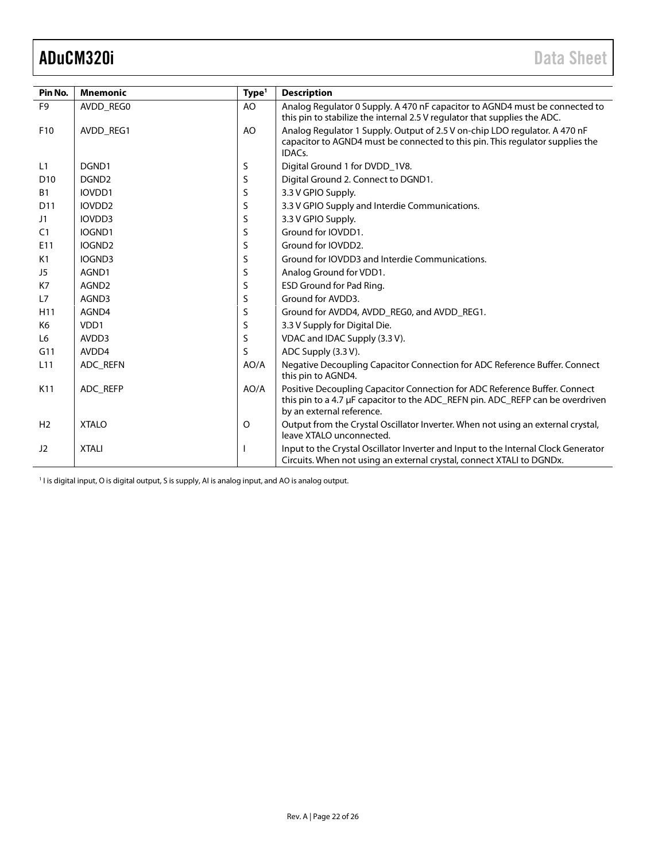<span id="page-21-0"></span>

| Pin No.         | <b>Mnemonic</b>    | Type <sup>1</sup> | <b>Description</b>                                                                                                                                                                        |
|-----------------|--------------------|-------------------|-------------------------------------------------------------------------------------------------------------------------------------------------------------------------------------------|
| F <sub>9</sub>  | AVDD REGO          | AO                | Analog Regulator 0 Supply. A 470 nF capacitor to AGND4 must be connected to                                                                                                               |
|                 |                    |                   | this pin to stabilize the internal 2.5 V regulator that supplies the ADC.                                                                                                                 |
| F <sub>10</sub> | AVDD REG1          | AO                | Analog Regulator 1 Supply. Output of 2.5 V on-chip LDO regulator. A 470 nF<br>capacitor to AGND4 must be connected to this pin. This regulator supplies the<br>IDAC <sub>s</sub> .        |
| L1              | DGND1              | S                 | Digital Ground 1 for DVDD_1V8.                                                                                                                                                            |
| D <sub>10</sub> | DGND <sub>2</sub>  | S                 | Digital Ground 2. Connect to DGND1.                                                                                                                                                       |
| <b>B1</b>       | IOVDD1             | S                 | 3.3 V GPIO Supply.                                                                                                                                                                        |
| D <sub>11</sub> | IOVDD <sub>2</sub> | S                 | 3.3 V GPIO Supply and Interdie Communications.                                                                                                                                            |
| J1              | IOVDD3             | S                 | 3.3 V GPIO Supply.                                                                                                                                                                        |
| C <sub>1</sub>  | IOGND1             | S                 | Ground for IOVDD1.                                                                                                                                                                        |
| E11             | IOGND <sub>2</sub> | S                 | Ground for IOVDD2.                                                                                                                                                                        |
| K1              | IOGND3             | S                 | Ground for IOVDD3 and Interdie Communications.                                                                                                                                            |
| J5              | AGND1              | S                 | Analog Ground for VDD1.                                                                                                                                                                   |
| K7              | AGND <sub>2</sub>  | S                 | ESD Ground for Pad Ring.                                                                                                                                                                  |
| L7              | AGND3              | S                 | Ground for AVDD3.                                                                                                                                                                         |
| H11             | AGND4              | S                 | Ground for AVDD4, AVDD_REG0, and AVDD_REG1.                                                                                                                                               |
| K6              | VDD1               | S                 | 3.3 V Supply for Digital Die.                                                                                                                                                             |
| L <sub>6</sub>  | AVDD3              | S                 | VDAC and IDAC Supply (3.3 V).                                                                                                                                                             |
| G11             | AVDD4              | S                 | ADC Supply (3.3 V).                                                                                                                                                                       |
| L <sub>11</sub> | ADC REFN           | AO/A              | Negative Decoupling Capacitor Connection for ADC Reference Buffer. Connect<br>this pin to AGND4.                                                                                          |
| K11             | ADC REFP           | AO/A              | Positive Decoupling Capacitor Connection for ADC Reference Buffer. Connect<br>this pin to a 4.7 μF capacitor to the ADC_REFN pin. ADC_REFP can be overdriven<br>by an external reference. |
| H <sub>2</sub>  | <b>XTALO</b>       | O                 | Output from the Crystal Oscillator Inverter. When not using an external crystal,<br>leave XTALO unconnected.                                                                              |
| J2              | <b>XTALI</b>       |                   | Input to the Crystal Oscillator Inverter and Input to the Internal Clock Generator<br>Circuits. When not using an external crystal, connect XTALI to DGNDx.                               |

<sup>1</sup> I is digital input, O is digital output, S is supply, AI is analog input, and AO is analog output.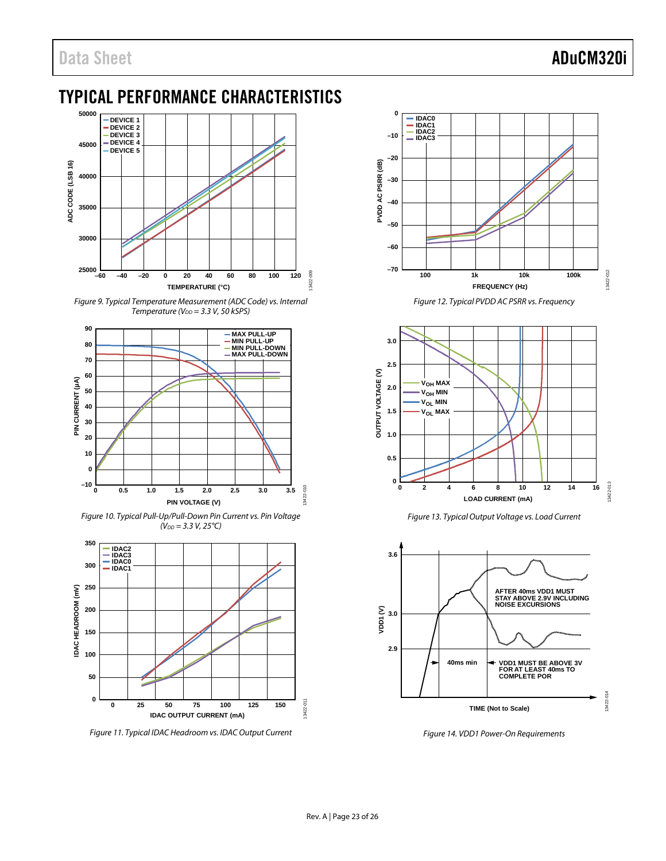# <span id="page-22-0"></span>TYPICAL PERFORMANCE CHARACTERISTICS



<span id="page-22-3"></span>*Figure 9. Typical Temperature Measurement (ADC Code) vs. Internal Temperature (V<sub>DD</sub>* = 3.3 *V*, 50 kSPS)



<span id="page-22-4"></span>*Figure 10. Typical Pull-Up/Pull-Down Pin Current vs. Pin Voltage*   $(V_{DD} = 3.3 V, 25°C)$ 



<span id="page-22-2"></span>*Figure 11. Typical IDAC Headroom vs. IDAC Output Current* 



*Figure 12. Typical PVDD AC PSRR vs. Frequency*



*Figure 13. Typical Output Voltage vs. Load Current*

<span id="page-22-5"></span>

<span id="page-22-1"></span>*Figure 14. VDD1 Power-On Requirements*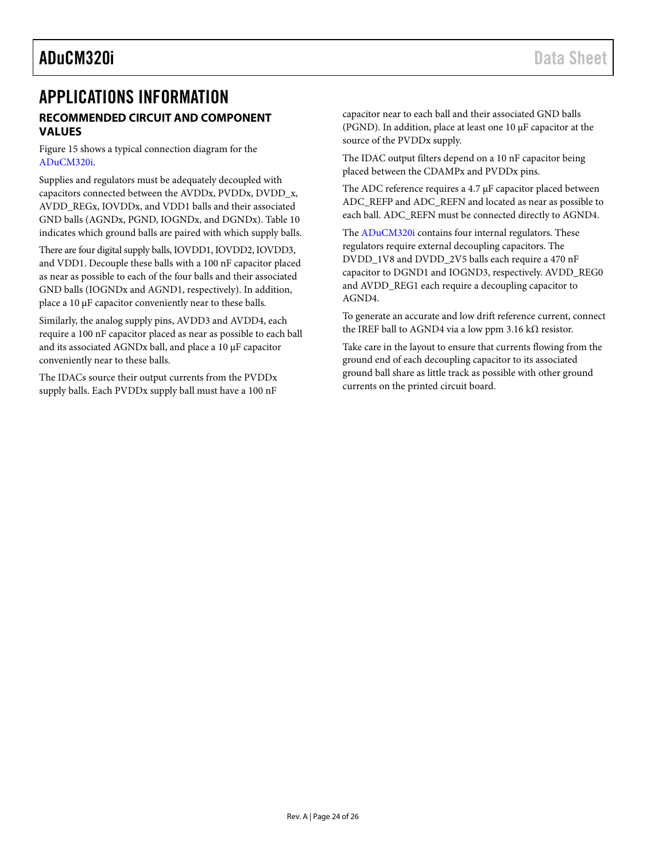## <span id="page-23-1"></span><span id="page-23-0"></span>APPLICATIONS INFORMATION **RECOMMENDED CIRCUIT AND COMPONENT VALUES**

[Figure 15](#page-24-0) shows a typical connection diagram for the [ADuCM320i.](http://analog.com/ADuCM320i?doc=ADuCM320i.pdf) 

Supplies and regulators must be adequately decoupled with capacitors connected between the AVDDx, PVDDx, DVDD\_x, AVDD\_REGx, IOVDDx, and VDD1 balls and their associated GND balls (AGNDx, PGND, IOGNDx, and DGNDx)[. Table 10](#page-17-1) indicates which ground balls are paired with which supply balls.

There are four digital supply balls, IOVDD1, IOVDD2, IOVDD3, and VDD1. Decouple these balls with a 100 nF capacitor placed as near as possible to each of the four balls and their associated GND balls (IOGNDx and AGND1, respectively). In addition, place a 10 μF capacitor conveniently near to these balls.

Similarly, the analog supply pins, AVDD3 and AVDD4, each require a 100 nF capacitor placed as near as possible to each ball and its associated AGNDx ball, and place a 10 μF capacitor conveniently near to these balls.

The IDACs source their output currents from the PVDDx supply balls. Each PVDDx supply ball must have a 100 nF

capacitor near to each ball and their associated GND balls (PGND). In addition, place at least one 10 μF capacitor at the source of the PVDDx supply.

The IDAC output filters depend on a 10 nF capacitor being placed between the CDAMPx and PVDDx pins.

The ADC reference requires a 4.7 μF capacitor placed between ADC\_REFP and ADC\_REFN and located as near as possible to each ball. ADC\_REFN must be connected directly to AGND4.

The [ADuCM320i](http://analog.com/ADuCM320i?doc=ADuCM320i.pdf) contains four internal regulators. These regulators require external decoupling capacitors. The DVDD\_1V8 and DVDD\_2V5 balls each require a 470 nF capacitor to DGND1 and IOGND3, respectively. AVDD\_REG0 and AVDD\_REG1 each require a decoupling capacitor to AGND4.

To generate an accurate and low drift reference current, connect the IREF ball to AGND4 via a low ppm 3.16 kΩ resistor.

Take care in the layout to ensure that currents flowing from the ground end of each decoupling capacitor to its associated ground ball share as little track as possible with other ground currents on the printed circuit board.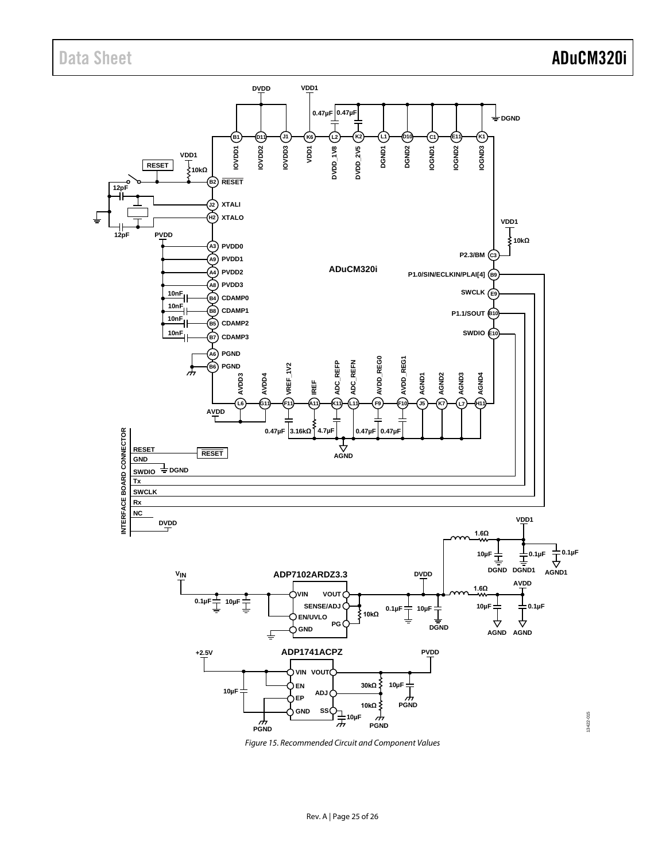

<span id="page-24-0"></span>*Figure 15. Recommended Circuit and Component Values*

Rev. A | Page 25 of 26